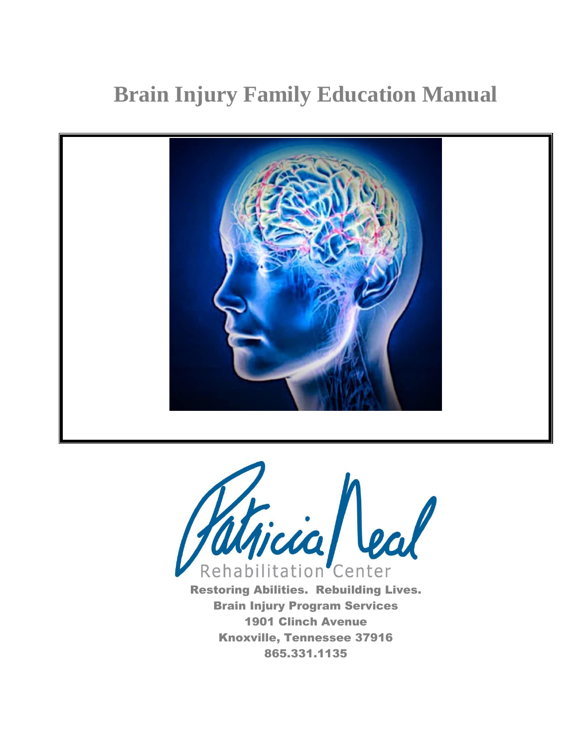# **Brain Injury Family Education Manual**





Brain Injury Program Services 1901 Clinch Avenue Knoxville, Tennessee 37916 865.331.1135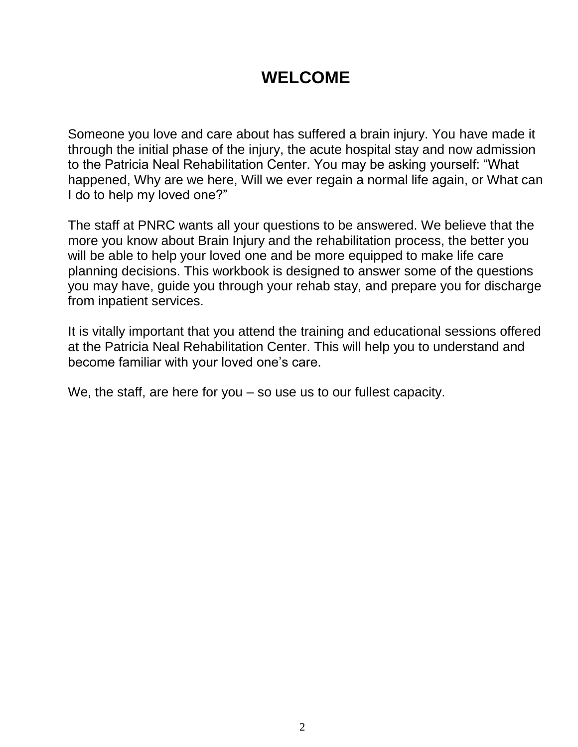# **WELCOME**

Someone you love and care about has suffered a brain injury. You have made it through the initial phase of the injury, the acute hospital stay and now admission to the Patricia Neal Rehabilitation Center. You may be asking yourself: "What happened, Why are we here, Will we ever regain a normal life again, or What can I do to help my loved one?"

The staff at PNRC wants all your questions to be answered. We believe that the more you know about Brain Injury and the rehabilitation process, the better you will be able to help your loved one and be more equipped to make life care planning decisions. This workbook is designed to answer some of the questions you may have, guide you through your rehab stay, and prepare you for discharge from inpatient services.

It is vitally important that you attend the training and educational sessions offered at the Patricia Neal Rehabilitation Center. This will help you to understand and become familiar with your loved one's care.

We, the staff, are here for you – so use us to our fullest capacity.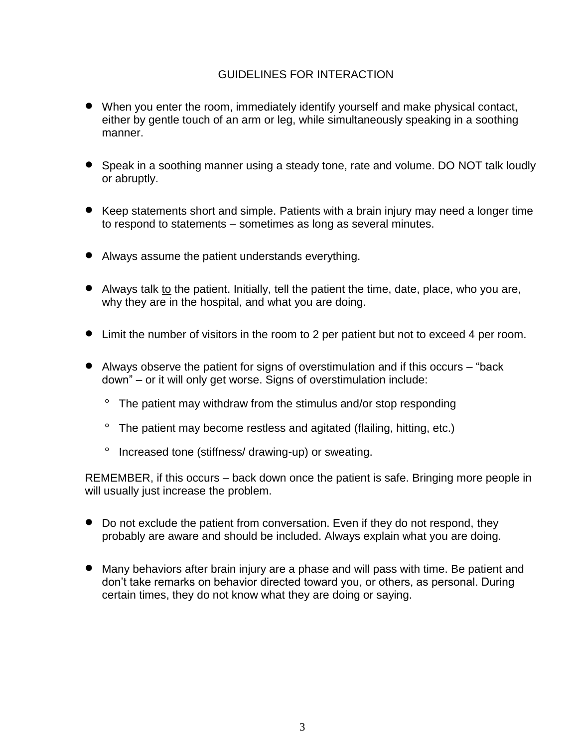### GUIDELINES FOR INTERACTION

- When you enter the room, immediately identify yourself and make physical contact, either by gentle touch of an arm or leg, while simultaneously speaking in a soothing manner.
- Speak in a soothing manner using a steady tone, rate and volume. DO NOT talk loudly or abruptly.
- Keep statements short and simple. Patients with a brain injury may need a longer time to respond to statements – sometimes as long as several minutes.
- Always assume the patient understands everything.
- Always talk to the patient. Initially, tell the patient the time, date, place, who you are, why they are in the hospital, and what you are doing.
- Limit the number of visitors in the room to 2 per patient but not to exceed 4 per room.
- Always observe the patient for signs of overstimulation and if this occurs "back down" – or it will only get worse. Signs of overstimulation include:
	- The patient may withdraw from the stimulus and/or stop responding
	- The patient may become restless and agitated (flailing, hitting, etc.)
	- Increased tone (stiffness/ drawing-up) or sweating.

REMEMBER, if this occurs – back down once the patient is safe. Bringing more people in will usually just increase the problem.

- Do not exclude the patient from conversation. Even if they do not respond, they probably are aware and should be included. Always explain what you are doing.
- Many behaviors after brain injury are a phase and will pass with time. Be patient and don't take remarks on behavior directed toward you, or others, as personal. During certain times, they do not know what they are doing or saying.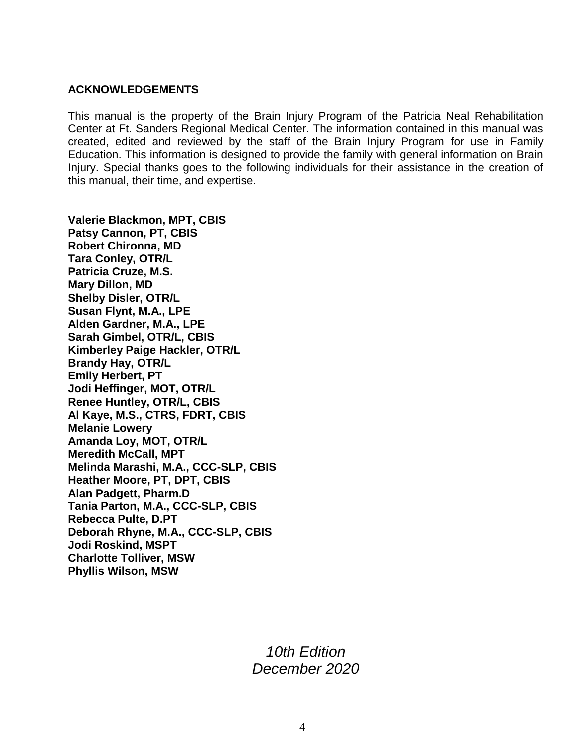#### **ACKNOWLEDGEMENTS**

This manual is the property of the Brain Injury Program of the Patricia Neal Rehabilitation Center at Ft. Sanders Regional Medical Center. The information contained in this manual was created, edited and reviewed by the staff of the Brain Injury Program for use in Family Education. This information is designed to provide the family with general information on Brain Injury. Special thanks goes to the following individuals for their assistance in the creation of this manual, their time, and expertise.

**Valerie Blackmon, MPT, CBIS Patsy Cannon, PT, CBIS Robert Chironna, MD Tara Conley, OTR/L Patricia Cruze, M.S. Mary Dillon, MD Shelby Disler, OTR/L Susan Flynt, M.A., LPE Alden Gardner, M.A., LPE Sarah Gimbel, OTR/L, CBIS Kimberley Paige Hackler, OTR/L Brandy Hay, OTR/L Emily Herbert, PT Jodi Heffinger, MOT, OTR/L Renee Huntley, OTR/L, CBIS Al Kaye, M.S., CTRS, FDRT, CBIS Melanie Lowery Amanda Loy, MOT, OTR/L Meredith McCall, MPT Melinda Marashi, M.A., CCC-SLP, CBIS Heather Moore, PT, DPT, CBIS Alan Padgett, Pharm.D Tania Parton, M.A., CCC-SLP, CBIS Rebecca Pulte, D.PT Deborah Rhyne, M.A., CCC-SLP, CBIS Jodi Roskind, MSPT Charlotte Tolliver, MSW Phyllis Wilson, MSW**

> *10th Edition December 2020*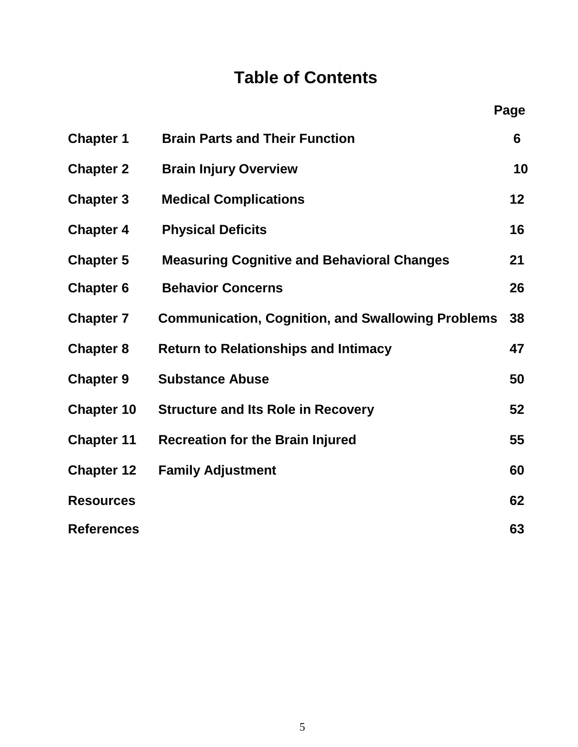# **Table of Contents**

| <b>Chapter 1</b>  | <b>Brain Parts and Their Function</b>                    | 6  |
|-------------------|----------------------------------------------------------|----|
| <b>Chapter 2</b>  | <b>Brain Injury Overview</b>                             | 10 |
| <b>Chapter 3</b>  | <b>Medical Complications</b>                             | 12 |
| <b>Chapter 4</b>  | <b>Physical Deficits</b>                                 | 16 |
| <b>Chapter 5</b>  | <b>Measuring Cognitive and Behavioral Changes</b>        | 21 |
| <b>Chapter 6</b>  | <b>Behavior Concerns</b>                                 | 26 |
| <b>Chapter 7</b>  | <b>Communication, Cognition, and Swallowing Problems</b> | 38 |
| <b>Chapter 8</b>  | <b>Return to Relationships and Intimacy</b>              | 47 |
| <b>Chapter 9</b>  | <b>Substance Abuse</b>                                   | 50 |
| <b>Chapter 10</b> | <b>Structure and Its Role in Recovery</b>                | 52 |
| <b>Chapter 11</b> | <b>Recreation for the Brain Injured</b>                  | 55 |
| <b>Chapter 12</b> | <b>Family Adjustment</b>                                 | 60 |
| <b>Resources</b>  |                                                          | 62 |
| <b>References</b> |                                                          | 63 |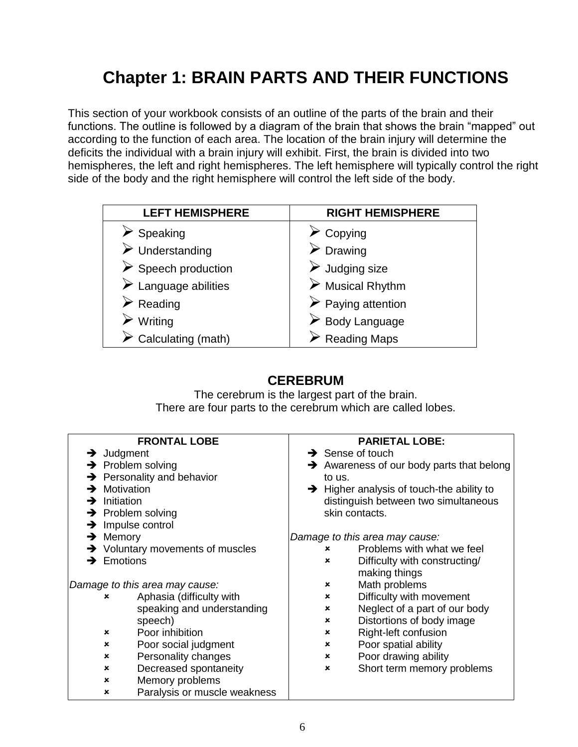# **Chapter 1: BRAIN PARTS AND THEIR FUNCTIONS**

This section of your workbook consists of an outline of the parts of the brain and their functions. The outline is followed by a diagram of the brain that shows the brain "mapped" out according to the function of each area. The location of the brain injury will determine the deficits the individual with a brain injury will exhibit. First, the brain is divided into two hemispheres, the left and right hemispheres. The left hemisphere will typically control the right side of the body and the right hemisphere will control the left side of the body.

| <b>LEFT HEMISPHERE</b>              | <b>RIGHT HEMISPHERE</b>           |
|-------------------------------------|-----------------------------------|
| Speaking                            | Copying                           |
| $\triangleright$ Understanding      | $\triangleright$ Drawing          |
| $\triangleright$ Speech production  | $\triangleright$ Judging size     |
| $\triangleright$ Language abilities | $\triangleright$ Musical Rhythm   |
| $\triangleright$ Reading            | $\triangleright$ Paying attention |
| Writing                             | $\triangleright$ Body Language    |
| Calculating (math)                  | $\triangleright$ Reading Maps     |

# **CEREBRUM**

The cerebrum is the largest part of the brain. There are four parts to the cerebrum which are called lobes.

|                        | <b>FRONTAL LOBE</b>                          |                           | <b>PARIETAL LOBE:</b>                                 |
|------------------------|----------------------------------------------|---------------------------|-------------------------------------------------------|
| $\rightarrow$ Judgment |                                              |                           | $\rightarrow$ Sense of touch                          |
|                        | $\rightarrow$ Problem solving                |                           | $\rightarrow$ Awareness of our body parts that belong |
|                        | $\rightarrow$ Personality and behavior       | to us.                    |                                                       |
|                        | $\rightarrow$ Motivation                     |                           | $\rightarrow$ Higher analysis of touch-the ability to |
| →                      | Initiation                                   |                           | distinguish between two simultaneous                  |
|                        | $\rightarrow$ Problem solving                |                           | skin contacts.                                        |
| →                      | Impulse control                              |                           |                                                       |
| →                      | Memory                                       |                           | Damage to this area may cause:                        |
|                        | $\rightarrow$ Voluntary movements of muscles | ×                         | Problems with what we feel                            |
|                        | $\rightarrow$ Emotions                       | $\boldsymbol{\mathsf{x}}$ | Difficulty with constructing/                         |
|                        |                                              |                           | making things                                         |
|                        | Damage to this area may cause:               | ×                         | Math problems                                         |
|                        | Aphasia (difficulty with<br>×                | $\boldsymbol{\mathsf{x}}$ | Difficulty with movement                              |
|                        | speaking and understanding                   | $\pmb{\times}$            | Neglect of a part of our body                         |
|                        | speech)                                      | $\boldsymbol{\mathsf{x}}$ | Distortions of body image                             |
|                        | Poor inhibition<br>×                         | $\boldsymbol{\mathsf{x}}$ | Right-left confusion                                  |
|                        | Poor social judgment<br>$\mathbf x$          | $\boldsymbol{\mathsf{x}}$ | Poor spatial ability                                  |
|                        | Personality changes<br>×                     | $\pmb{\times}$            | Poor drawing ability                                  |
|                        | Decreased spontaneity<br>×                   | $\mathbf x$               | Short term memory problems                            |
|                        | Memory problems<br>×                         |                           |                                                       |
|                        | Paralysis or muscle weakness<br>×            |                           |                                                       |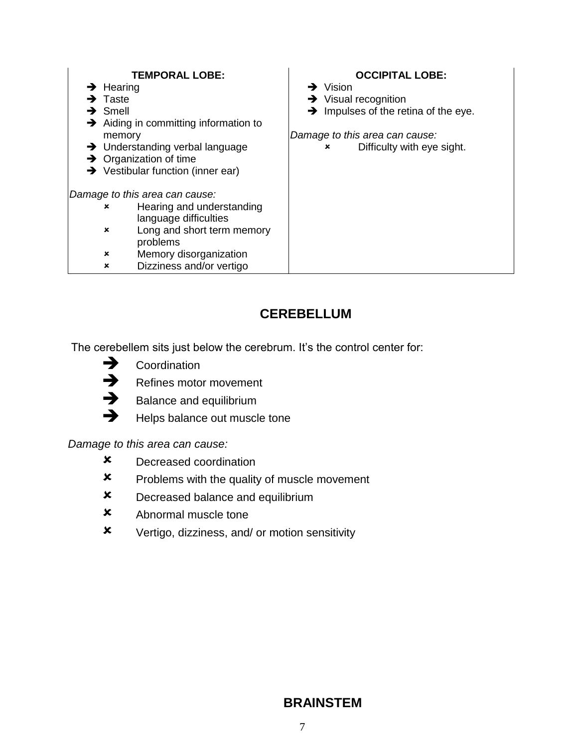| <b>TEMPORAL LOBE:</b>                             | <b>OCCIPITAL LOBE:</b>                           |
|---------------------------------------------------|--------------------------------------------------|
| $\rightarrow$ Hearing                             | $\rightarrow$ Vision                             |
| $\rightarrow$ Taste                               | $\rightarrow$ Visual recognition                 |
| $\rightarrow$ Smell                               | $\rightarrow$ Impulses of the retina of the eye. |
| $\rightarrow$ Aiding in committing information to |                                                  |
| memory                                            | Damage to this area can cause:                   |
| Understanding verbal language<br>→                | Difficulty with eye sight.<br>×                  |
| Organization of time<br>→                         |                                                  |
| $\rightarrow$ Vestibular function (inner ear)     |                                                  |
|                                                   |                                                  |
| Damage to this area can cause:                    |                                                  |
| Hearing and understanding<br>×                    |                                                  |
| language difficulties                             |                                                  |
| Long and short term memory<br>×                   |                                                  |
| problems                                          |                                                  |
| Memory disorganization<br>×                       |                                                  |
| Dizziness and/or vertigo<br>×                     |                                                  |

# **CEREBELLUM**

The cerebellem sits just below the cerebrum. It's the control center for:



 $\rightarrow$  Refines motor movement<br> $\rightarrow$  Balance and equilibrium



- $\rightarrow$  Balance and equilibrium<br> $\rightarrow$  Helps balance out muscle
	- Helps balance out muscle tone

*Damage to this area can cause:*

- Decreased coordination
- **x** Problems with the quality of muscle movement
- **x** Decreased balance and equilibrium
- Abnormal muscle tone
- Vertigo, dizziness, and/ or motion sensitivity

# **BRAINSTEM**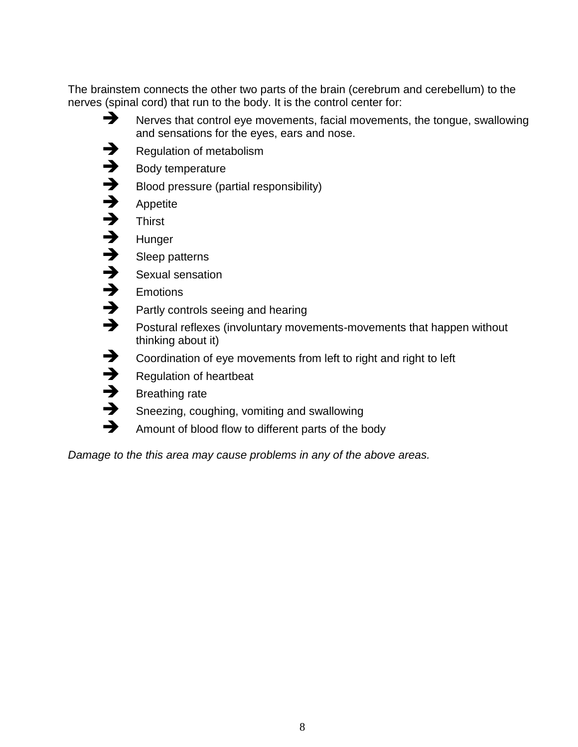The brainstem connects the other two parts of the brain (cerebrum and cerebellum) to the nerves (spinal cord) that run to the body. It is the control center for:

- Nerves that control eye movements, facial movements, the tongue, swallowing and sensations for the eyes, ears and nose.
- $\rightarrow$  Regulation of metabolism<br> $\rightarrow$  Body temperature
- $\rightarrow$  Body temperature<br> $\rightarrow$  Blood pressure (pa
- $\rightarrow$  Blood pressure (partial responsibility)<br> $\rightarrow$  Appetite
	- Appetite
- $\rightarrow$  Thirst
- $\rightarrow$  Hunger
- $\rightarrow$  Sleep patterns<br> $\rightarrow$  Sexual sensation
- $\rightarrow$  Sexual sensation<br> $\rightarrow$  Emotions
	- **Emotions**
- $\rightarrow$  Partly controls seeing and hearing<br> $\rightarrow$  Postural reflexes (involuntary move
	- Postural reflexes (involuntary movements-movements that happen without thinking about it)
- Coordination of eye movements from left to right and right to left
- $\rightarrow$  Regulation of heartbeat
	- Breathing rate
- Sneezing, coughing, vomiting and swallowing
- Amount of blood flow to different parts of the body

*Damage to the this area may cause problems in any of the above areas.*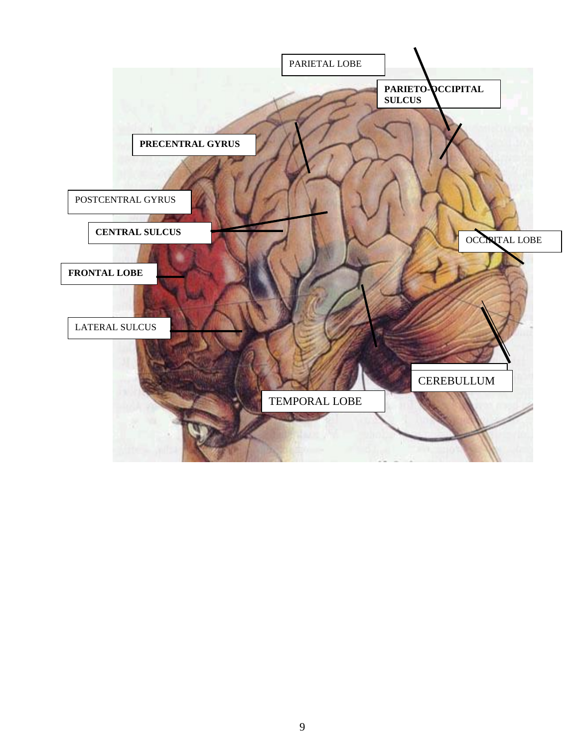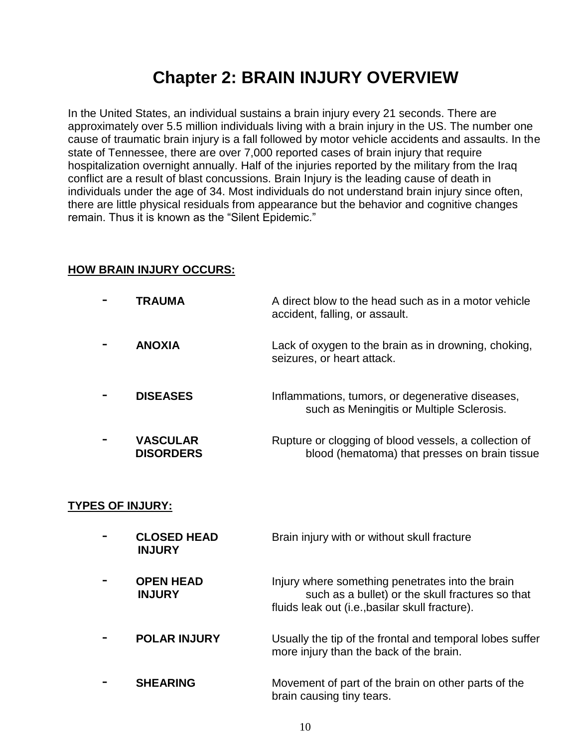# **Chapter 2: BRAIN INJURY OVERVIEW**

In the United States, an individual sustains a brain injury every 21 seconds. There are approximately over 5.5 million individuals living with a brain injury in the US. The number one cause of traumatic brain injury is a fall followed by motor vehicle accidents and assaults. In the state of Tennessee, there are over 7,000 reported cases of brain injury that require hospitalization overnight annually. Half of the injuries reported by the military from the Iraq conflict are a result of blast concussions. Brain Injury is the leading cause of death in individuals under the age of 34. Most individuals do not understand brain injury since often, there are little physical residuals from appearance but the behavior and cognitive changes remain. Thus it is known as the "Silent Epidemic."

#### **HOW BRAIN INJURY OCCURS:**

| <b>TRAUMA</b>                       | A direct blow to the head such as in a motor vehicle<br>accident, falling, or assault.                 |
|-------------------------------------|--------------------------------------------------------------------------------------------------------|
| <b>ANOXIA</b>                       | Lack of oxygen to the brain as in drowning, choking,<br>seizures, or heart attack.                     |
| <b>DISEASES</b>                     | Inflammations, tumors, or degenerative diseases,<br>such as Meningitis or Multiple Sclerosis.          |
| <b>VASCULAR</b><br><b>DISORDERS</b> | Rupture or clogging of blood vessels, a collection of<br>blood (hematoma) that presses on brain tissue |

#### **TYPES OF INJURY:**

| <b>CLOSED HEAD</b><br><b>INJURY</b> | Brain injury with or without skull fracture                                                                                                             |
|-------------------------------------|---------------------------------------------------------------------------------------------------------------------------------------------------------|
| <b>OPEN HEAD</b><br><b>INJURY</b>   | Injury where something penetrates into the brain<br>such as a bullet) or the skull fractures so that<br>fluids leak out (i.e., basilar skull fracture). |
| <b>POLAR INJURY</b>                 | Usually the tip of the frontal and temporal lobes suffer<br>more injury than the back of the brain.                                                     |
| <b>SHEARING</b>                     | Movement of part of the brain on other parts of the<br>brain causing tiny tears.                                                                        |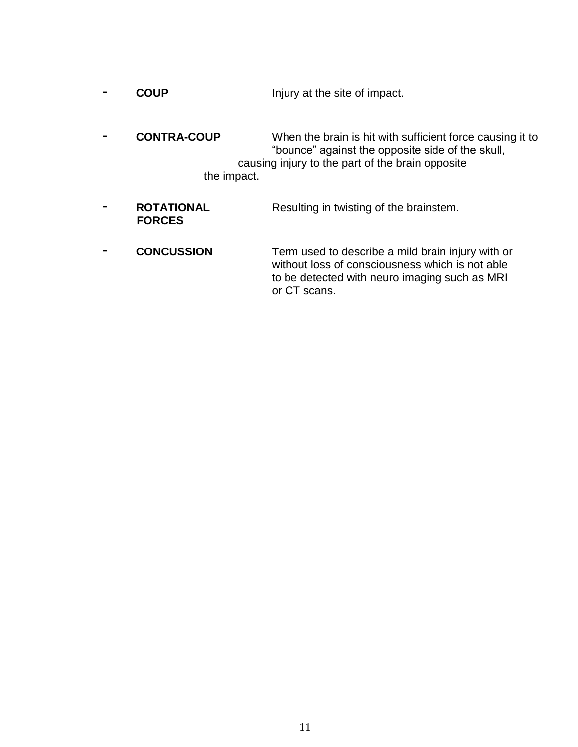| <b>COUP</b> | Injury at the site of impact. |
|-------------|-------------------------------|

- **CONTRA-COUP** When the brain is hit with sufficient force causing it to "bounce" against the opposite side of the skull, causing injury to the part of the brain opposite the impact.
- **- ROTATIONAL Resulting in twisting of the brainstem. FORCES**
- **CONCUSSION** Term used to describe a mild brain injury with or without loss of consciousness which is not able to be detected with neuro imaging such as MRI or CT scans.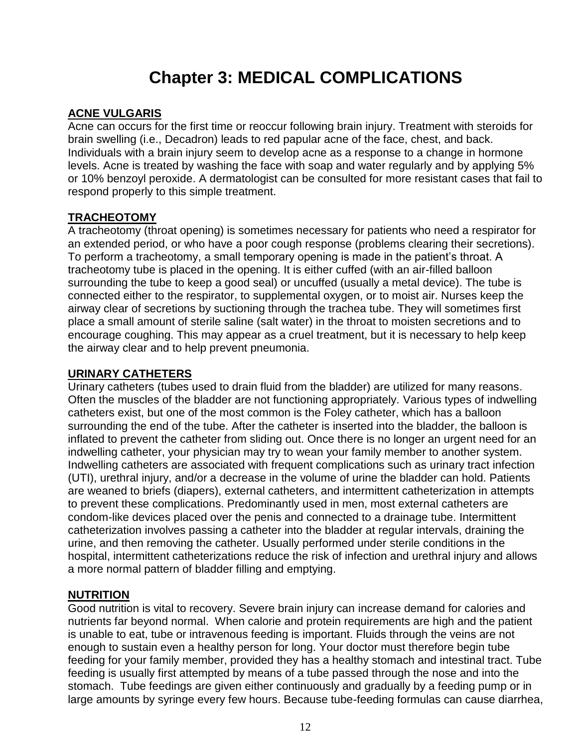# **Chapter 3: MEDICAL COMPLICATIONS**

#### **ACNE VULGARIS**

Acne can occurs for the first time or reoccur following brain injury. Treatment with steroids for brain swelling (i.e., Decadron) leads to red papular acne of the face, chest, and back. Individuals with a brain injury seem to develop acne as a response to a change in hormone levels. Acne is treated by washing the face with soap and water regularly and by applying 5% or 10% benzoyl peroxide. A dermatologist can be consulted for more resistant cases that fail to respond properly to this simple treatment.

#### **TRACHEOTOMY**

A tracheotomy (throat opening) is sometimes necessary for patients who need a respirator for an extended period, or who have a poor cough response (problems clearing their secretions). To perform a tracheotomy, a small temporary opening is made in the patient's throat. A tracheotomy tube is placed in the opening. It is either cuffed (with an air-filled balloon surrounding the tube to keep a good seal) or uncuffed (usually a metal device). The tube is connected either to the respirator, to supplemental oxygen, or to moist air. Nurses keep the airway clear of secretions by suctioning through the trachea tube. They will sometimes first place a small amount of sterile saline (salt water) in the throat to moisten secretions and to encourage coughing. This may appear as a cruel treatment, but it is necessary to help keep the airway clear and to help prevent pneumonia.

#### **URINARY CATHETERS**

Urinary catheters (tubes used to drain fluid from the bladder) are utilized for many reasons. Often the muscles of the bladder are not functioning appropriately. Various types of indwelling catheters exist, but one of the most common is the Foley catheter, which has a balloon surrounding the end of the tube. After the catheter is inserted into the bladder, the balloon is inflated to prevent the catheter from sliding out. Once there is no longer an urgent need for an indwelling catheter, your physician may try to wean your family member to another system. Indwelling catheters are associated with frequent complications such as urinary tract infection (UTI), urethral injury, and/or a decrease in the volume of urine the bladder can hold. Patients are weaned to briefs (diapers), external catheters, and intermittent catheterization in attempts to prevent these complications. Predominantly used in men, most external catheters are condom-like devices placed over the penis and connected to a drainage tube. Intermittent catheterization involves passing a catheter into the bladder at regular intervals, draining the urine, and then removing the catheter. Usually performed under sterile conditions in the hospital, intermittent catheterizations reduce the risk of infection and urethral injury and allows a more normal pattern of bladder filling and emptying.

#### **NUTRITION**

Good nutrition is vital to recovery. Severe brain injury can increase demand for calories and nutrients far beyond normal. When calorie and protein requirements are high and the patient is unable to eat, tube or intravenous feeding is important. Fluids through the veins are not enough to sustain even a healthy person for long. Your doctor must therefore begin tube feeding for your family member, provided they has a healthy stomach and intestinal tract. Tube feeding is usually first attempted by means of a tube passed through the nose and into the stomach. Tube feedings are given either continuously and gradually by a feeding pump or in large amounts by syringe every few hours. Because tube-feeding formulas can cause diarrhea,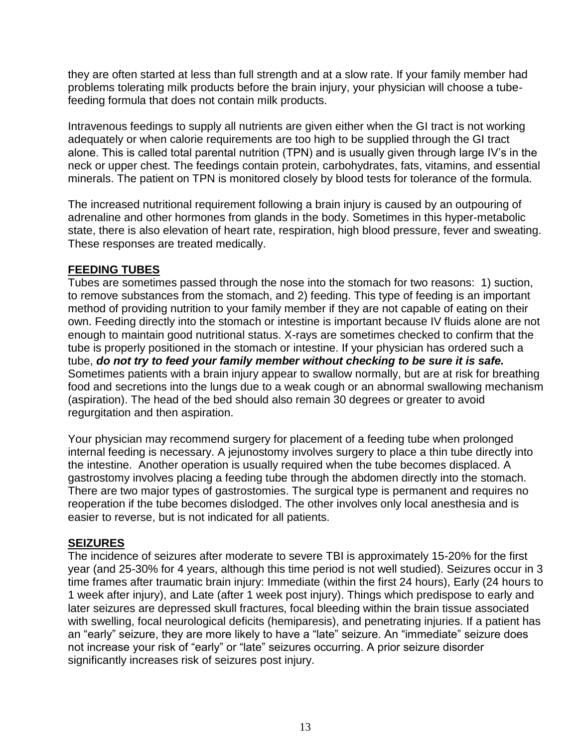they are often started at less than full strength and at a slow rate. If your family member had problems tolerating milk products before the brain injury, your physician will choose a tubefeeding formula that does not contain milk products.

Intravenous feedings to supply all nutrients are given either when the GI tract is not working adequately or when calorie requirements are too high to be supplied through the GI tract alone. This is called total parental nutrition (TPN) and is usually given through large IV's in the neck or upper chest. The feedings contain protein, carbohydrates, fats, vitamins, and essential minerals. The patient on TPN is monitored closely by blood tests for tolerance of the formula.

The increased nutritional requirement following a brain injury is caused by an outpouring of adrenaline and other hormones from glands in the body. Sometimes in this hyper-metabolic state, there is also elevation of heart rate, respiration, high blood pressure, fever and sweating. These responses are treated medically.

#### **FEEDING TUBES**

Tubes are sometimes passed through the nose into the stomach for two reasons: 1) suction, to remove substances from the stomach, and 2) feeding. This type of feeding is an important method of providing nutrition to your family member if they are not capable of eating on their own. Feeding directly into the stomach or intestine is important because IV fluids alone are not enough to maintain good nutritional status. X-rays are sometimes checked to confirm that the tube is properly positioned in the stomach or intestine. If your physician has ordered such a tube, *do not try to feed your family member without checking to be sure it is safe.*  Sometimes patients with a brain injury appear to swallow normally, but are at risk for breathing food and secretions into the lungs due to a weak cough or an abnormal swallowing mechanism (aspiration). The head of the bed should also remain 30 degrees or greater to avoid regurgitation and then aspiration.

Your physician may recommend surgery for placement of a feeding tube when prolonged internal feeding is necessary. A jejunostomy involves surgery to place a thin tube directly into the intestine. Another operation is usually required when the tube becomes displaced. A gastrostomy involves placing a feeding tube through the abdomen directly into the stomach. There are two major types of gastrostomies. The surgical type is permanent and requires no reoperation if the tube becomes dislodged. The other involves only local anesthesia and is easier to reverse, but is not indicated for all patients.

#### **SEIZURES**

The incidence of seizures after moderate to severe TBI is approximately 15-20% for the first year (and 25-30% for 4 years, although this time period is not well studied). Seizures occur in 3 time frames after traumatic brain injury: Immediate (within the first 24 hours), Early (24 hours to 1 week after injury), and Late (after 1 week post injury). Things which predispose to early and later seizures are depressed skull fractures, focal bleeding within the brain tissue associated with swelling, focal neurological deficits (hemiparesis), and penetrating injuries. If a patient has an "early" seizure, they are more likely to have a "late" seizure. An "immediate" seizure does not increase your risk of "early" or "late" seizures occurring. A prior seizure disorder significantly increases risk of seizures post injury.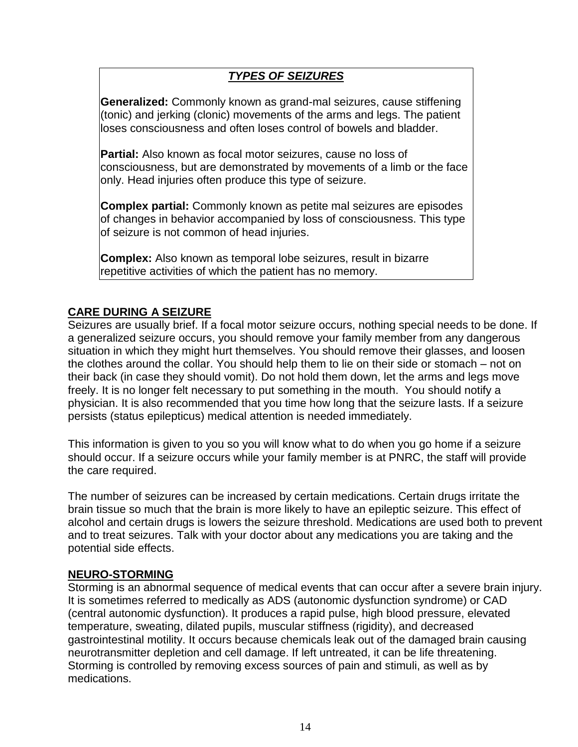# *TYPES OF SEIZURES*

**Generalized:** Commonly known as grand-mal seizures, cause stiffening (tonic) and jerking (clonic) movements of the arms and legs. The patient loses consciousness and often loses control of bowels and bladder.

**Partial:** Also known as focal motor seizures, cause no loss of consciousness, but are demonstrated by movements of a limb or the face only. Head injuries often produce this type of seizure.

**Complex partial:** Commonly known as petite mal seizures are episodes of changes in behavior accompanied by loss of consciousness. This type of seizure is not common of head injuries.

**Complex:** Also known as temporal lobe seizures, result in bizarre repetitive activities of which the patient has no memory.

#### **CARE DURING A SEIZURE**

Seizures are usually brief. If a focal motor seizure occurs, nothing special needs to be done. If a generalized seizure occurs, you should remove your family member from any dangerous situation in which they might hurt themselves. You should remove their glasses, and loosen the clothes around the collar. You should help them to lie on their side or stomach – not on their back (in case they should vomit). Do not hold them down, let the arms and legs move freely. It is no longer felt necessary to put something in the mouth. You should notify a physician. It is also recommended that you time how long that the seizure lasts. If a seizure persists (status epilepticus) medical attention is needed immediately.

This information is given to you so you will know what to do when you go home if a seizure should occur. If a seizure occurs while your family member is at PNRC, the staff will provide the care required.

The number of seizures can be increased by certain medications. Certain drugs irritate the brain tissue so much that the brain is more likely to have an epileptic seizure. This effect of alcohol and certain drugs is lowers the seizure threshold. Medications are used both to prevent and to treat seizures. Talk with your doctor about any medications you are taking and the potential side effects.

#### **NEURO-STORMING**

Storming is an abnormal sequence of medical events that can occur after a severe brain injury. It is sometimes referred to medically as ADS (autonomic dysfunction syndrome) or CAD (central autonomic dysfunction). It produces a rapid pulse, high blood pressure, elevated temperature, sweating, dilated pupils, muscular stiffness (rigidity), and decreased gastrointestinal motility. It occurs because chemicals leak out of the damaged brain causing neurotransmitter depletion and cell damage. If left untreated, it can be life threatening. Storming is controlled by removing excess sources of pain and stimuli, as well as by medications.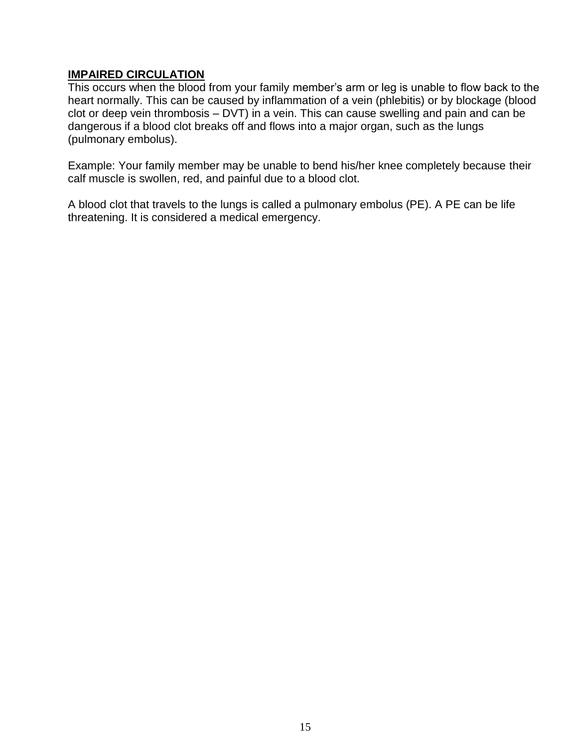#### **IMPAIRED CIRCULATION**

This occurs when the blood from your family member's arm or leg is unable to flow back to the heart normally. This can be caused by inflammation of a vein (phlebitis) or by blockage (blood clot or deep vein thrombosis – DVT) in a vein. This can cause swelling and pain and can be dangerous if a blood clot breaks off and flows into a major organ, such as the lungs (pulmonary embolus).

Example: Your family member may be unable to bend his/her knee completely because their calf muscle is swollen, red, and painful due to a blood clot.

A blood clot that travels to the lungs is called a pulmonary embolus (PE). A PE can be life threatening. It is considered a medical emergency.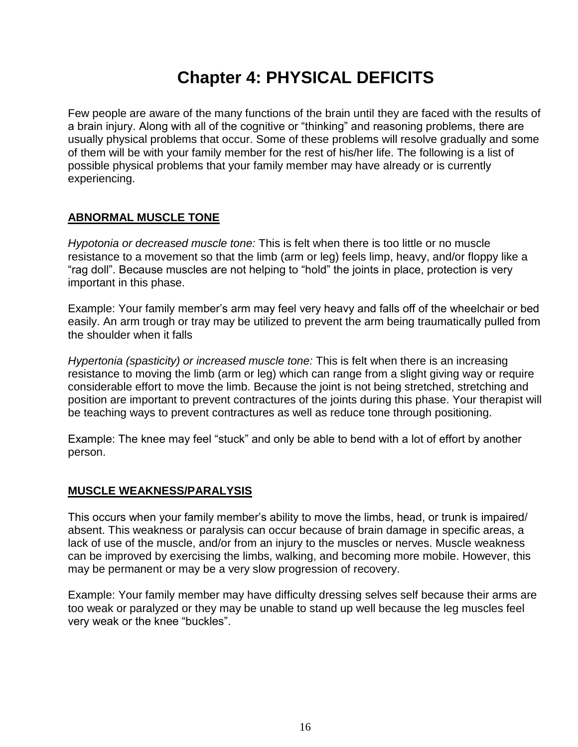# **Chapter 4: PHYSICAL DEFICITS**

Few people are aware of the many functions of the brain until they are faced with the results of a brain injury. Along with all of the cognitive or "thinking" and reasoning problems, there are usually physical problems that occur. Some of these problems will resolve gradually and some of them will be with your family member for the rest of his/her life. The following is a list of possible physical problems that your family member may have already or is currently experiencing.

### **ABNORMAL MUSCLE TONE**

*Hypotonia or decreased muscle tone:* This is felt when there is too little or no muscle resistance to a movement so that the limb (arm or leg) feels limp, heavy, and/or floppy like a "rag doll". Because muscles are not helping to "hold" the joints in place, protection is very important in this phase.

Example: Your family member's arm may feel very heavy and falls off of the wheelchair or bed easily. An arm trough or tray may be utilized to prevent the arm being traumatically pulled from the shoulder when it falls

*Hypertonia (spasticity) or increased muscle tone:* This is felt when there is an increasing resistance to moving the limb (arm or leg) which can range from a slight giving way or require considerable effort to move the limb. Because the joint is not being stretched, stretching and position are important to prevent contractures of the joints during this phase. Your therapist will be teaching ways to prevent contractures as well as reduce tone through positioning.

Example: The knee may feel "stuck" and only be able to bend with a lot of effort by another person.

#### **MUSCLE WEAKNESS/PARALYSIS**

This occurs when your family member's ability to move the limbs, head, or trunk is impaired/ absent. This weakness or paralysis can occur because of brain damage in specific areas, a lack of use of the muscle, and/or from an injury to the muscles or nerves. Muscle weakness can be improved by exercising the limbs, walking, and becoming more mobile. However, this may be permanent or may be a very slow progression of recovery.

Example: Your family member may have difficulty dressing selves self because their arms are too weak or paralyzed or they may be unable to stand up well because the leg muscles feel very weak or the knee "buckles".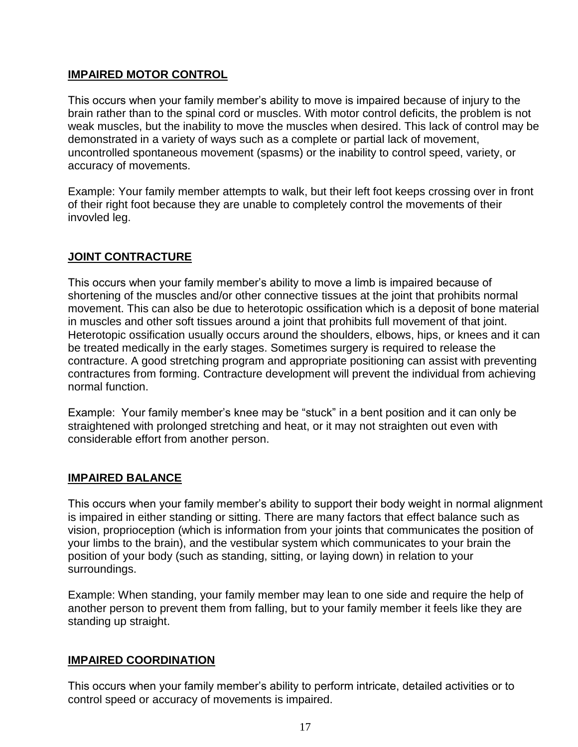#### **IMPAIRED MOTOR CONTROL**

This occurs when your family member's ability to move is impaired because of injury to the brain rather than to the spinal cord or muscles. With motor control deficits, the problem is not weak muscles, but the inability to move the muscles when desired. This lack of control may be demonstrated in a variety of ways such as a complete or partial lack of movement, uncontrolled spontaneous movement (spasms) or the inability to control speed, variety, or accuracy of movements.

Example: Your family member attempts to walk, but their left foot keeps crossing over in front of their right foot because they are unable to completely control the movements of their invovled leg.

#### **JOINT CONTRACTURE**

This occurs when your family member's ability to move a limb is impaired because of shortening of the muscles and/or other connective tissues at the joint that prohibits normal movement. This can also be due to heterotopic ossification which is a deposit of bone material in muscles and other soft tissues around a joint that prohibits full movement of that joint. Heterotopic ossification usually occurs around the shoulders, elbows, hips, or knees and it can be treated medically in the early stages. Sometimes surgery is required to release the contracture. A good stretching program and appropriate positioning can assist with preventing contractures from forming. Contracture development will prevent the individual from achieving normal function.

Example: Your family member's knee may be "stuck" in a bent position and it can only be straightened with prolonged stretching and heat, or it may not straighten out even with considerable effort from another person.

#### **IMPAIRED BALANCE**

This occurs when your family member's ability to support their body weight in normal alignment is impaired in either standing or sitting. There are many factors that effect balance such as vision, proprioception (which is information from your joints that communicates the position of your limbs to the brain), and the vestibular system which communicates to your brain the position of your body (such as standing, sitting, or laying down) in relation to your surroundings.

Example: When standing, your family member may lean to one side and require the help of another person to prevent them from falling, but to your family member it feels like they are standing up straight.

#### **IMPAIRED COORDINATION**

This occurs when your family member's ability to perform intricate, detailed activities or to control speed or accuracy of movements is impaired.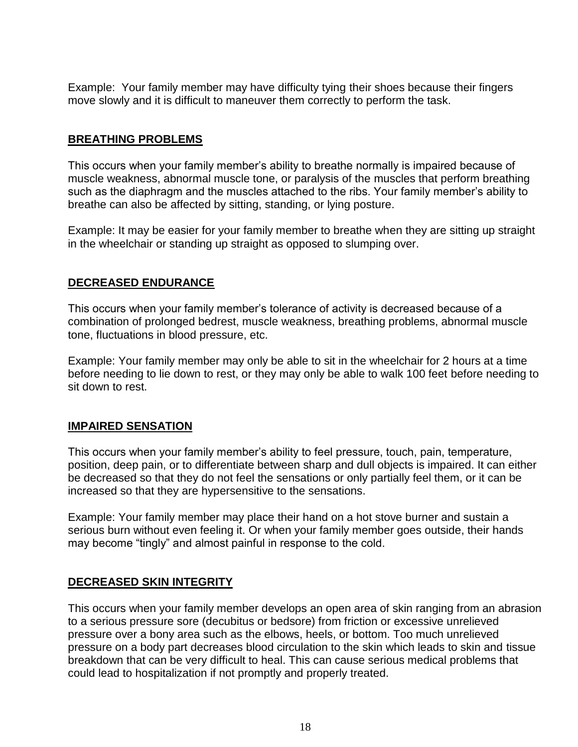Example: Your family member may have difficulty tying their shoes because their fingers move slowly and it is difficult to maneuver them correctly to perform the task.

#### **BREATHING PROBLEMS**

This occurs when your family member's ability to breathe normally is impaired because of muscle weakness, abnormal muscle tone, or paralysis of the muscles that perform breathing such as the diaphragm and the muscles attached to the ribs. Your family member's ability to breathe can also be affected by sitting, standing, or lying posture.

Example: It may be easier for your family member to breathe when they are sitting up straight in the wheelchair or standing up straight as opposed to slumping over.

#### **DECREASED ENDURANCE**

This occurs when your family member's tolerance of activity is decreased because of a combination of prolonged bedrest, muscle weakness, breathing problems, abnormal muscle tone, fluctuations in blood pressure, etc.

Example: Your family member may only be able to sit in the wheelchair for 2 hours at a time before needing to lie down to rest, or they may only be able to walk 100 feet before needing to sit down to rest.

#### **IMPAIRED SENSATION**

This occurs when your family member's ability to feel pressure, touch, pain, temperature, position, deep pain, or to differentiate between sharp and dull objects is impaired. It can either be decreased so that they do not feel the sensations or only partially feel them, or it can be increased so that they are hypersensitive to the sensations.

Example: Your family member may place their hand on a hot stove burner and sustain a serious burn without even feeling it. Or when your family member goes outside, their hands may become "tingly" and almost painful in response to the cold.

#### **DECREASED SKIN INTEGRITY**

This occurs when your family member develops an open area of skin ranging from an abrasion to a serious pressure sore (decubitus or bedsore) from friction or excessive unrelieved pressure over a bony area such as the elbows, heels, or bottom. Too much unrelieved pressure on a body part decreases blood circulation to the skin which leads to skin and tissue breakdown that can be very difficult to heal. This can cause serious medical problems that could lead to hospitalization if not promptly and properly treated.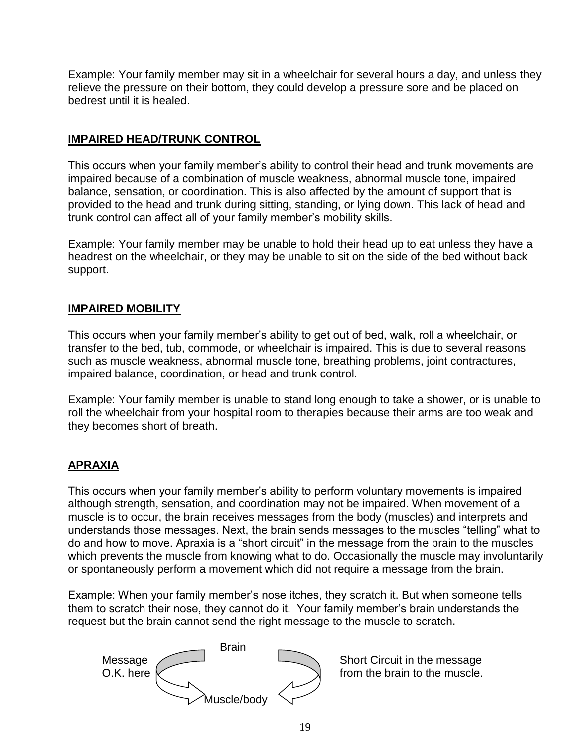Example: Your family member may sit in a wheelchair for several hours a day, and unless they relieve the pressure on their bottom, they could develop a pressure sore and be placed on bedrest until it is healed.

#### **IMPAIRED HEAD/TRUNK CONTROL**

This occurs when your family member's ability to control their head and trunk movements are impaired because of a combination of muscle weakness, abnormal muscle tone, impaired balance, sensation, or coordination. This is also affected by the amount of support that is provided to the head and trunk during sitting, standing, or lying down. This lack of head and trunk control can affect all of your family member's mobility skills.

Example: Your family member may be unable to hold their head up to eat unless they have a headrest on the wheelchair, or they may be unable to sit on the side of the bed without back support.

#### **IMPAIRED MOBILITY**

This occurs when your family member's ability to get out of bed, walk, roll a wheelchair, or transfer to the bed, tub, commode, or wheelchair is impaired. This is due to several reasons such as muscle weakness, abnormal muscle tone, breathing problems, joint contractures, impaired balance, coordination, or head and trunk control.

Example: Your family member is unable to stand long enough to take a shower, or is unable to roll the wheelchair from your hospital room to therapies because their arms are too weak and they becomes short of breath.

#### **APRAXIA**

This occurs when your family member's ability to perform voluntary movements is impaired although strength, sensation, and coordination may not be impaired. When movement of a muscle is to occur, the brain receives messages from the body (muscles) and interprets and understands those messages. Next, the brain sends messages to the muscles "telling" what to do and how to move. Apraxia is a "short circuit" in the message from the brain to the muscles which prevents the muscle from knowing what to do. Occasionally the muscle may involuntarily or spontaneously perform a movement which did not require a message from the brain.

Example: When your family member's nose itches, they scratch it. But when someone tells them to scratch their nose, they cannot do it. Your family member's brain understands the request but the brain cannot send the right message to the muscle to scratch.

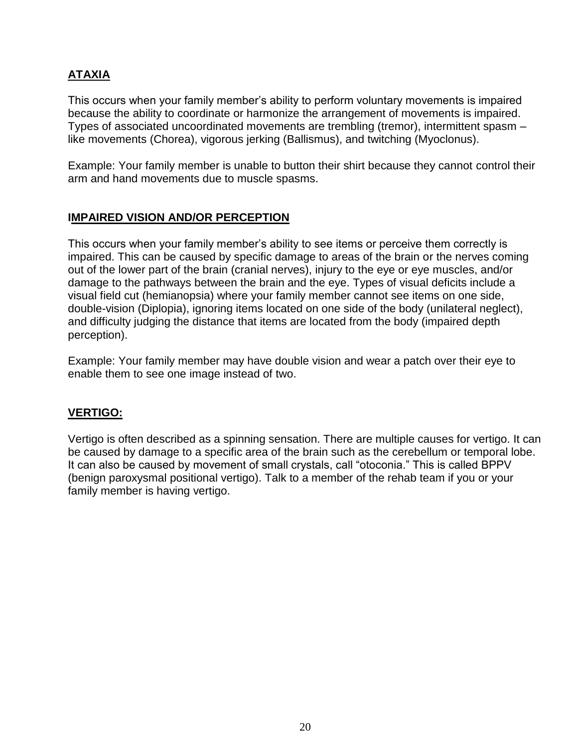# **ATAXIA**

This occurs when your family member's ability to perform voluntary movements is impaired because the ability to coordinate or harmonize the arrangement of movements is impaired. Types of associated uncoordinated movements are trembling (tremor), intermittent spasm – like movements (Chorea), vigorous jerking (Ballismus), and twitching (Myoclonus).

Example: Your family member is unable to button their shirt because they cannot control their arm and hand movements due to muscle spasms.

#### **IMPAIRED VISION AND/OR PERCEPTION**

This occurs when your family member's ability to see items or perceive them correctly is impaired. This can be caused by specific damage to areas of the brain or the nerves coming out of the lower part of the brain (cranial nerves), injury to the eye or eye muscles, and/or damage to the pathways between the brain and the eye. Types of visual deficits include a visual field cut (hemianopsia) where your family member cannot see items on one side, double-vision (Diplopia), ignoring items located on one side of the body (unilateral neglect), and difficulty judging the distance that items are located from the body (impaired depth perception).

Example: Your family member may have double vision and wear a patch over their eye to enable them to see one image instead of two.

#### **VERTIGO:**

Vertigo is often described as a spinning sensation. There are multiple causes for vertigo. It can be caused by damage to a specific area of the brain such as the cerebellum or temporal lobe. It can also be caused by movement of small crystals, call "otoconia." This is called BPPV (benign paroxysmal positional vertigo). Talk to a member of the rehab team if you or your family member is having vertigo.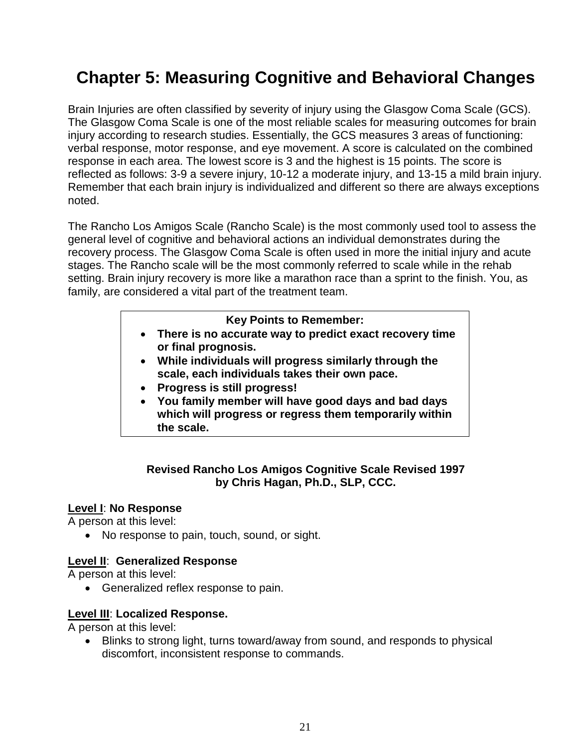# **Chapter 5: Measuring Cognitive and Behavioral Changes**

Brain Injuries are often classified by severity of injury using the Glasgow Coma Scale (GCS). The Glasgow Coma Scale is one of the most reliable scales for measuring outcomes for brain injury according to research studies. Essentially, the GCS measures 3 areas of functioning: verbal response, motor response, and eye movement. A score is calculated on the combined response in each area. The lowest score is 3 and the highest is 15 points. The score is reflected as follows: 3-9 a severe injury, 10-12 a moderate injury, and 13-15 a mild brain injury. Remember that each brain injury is individualized and different so there are always exceptions noted.

The Rancho Los Amigos Scale (Rancho Scale) is the most commonly used tool to assess the general level of cognitive and behavioral actions an individual demonstrates during the recovery process. The Glasgow Coma Scale is often used in more the initial injury and acute stages. The Rancho scale will be the most commonly referred to scale while in the rehab setting. Brain injury recovery is more like a marathon race than a sprint to the finish. You, as family, are considered a vital part of the treatment team.

#### **Key Points to Remember:**

- **There is no accurate way to predict exact recovery time or final prognosis.**
- **While individuals will progress similarly through the scale, each individuals takes their own pace.**
- **Progress is still progress!**
- **You family member will have good days and bad days which will progress or regress them temporarily within the scale.**

#### **Revised Rancho Los Amigos Cognitive Scale Revised 1997 by Chris Hagan, Ph.D., SLP, CCC.**

#### **Level I**: **No Response**

A person at this level:

• No response to pain, touch, sound, or sight.

#### **Level II**: **Generalized Response**

A person at this level:

• Generalized reflex response to pain.

#### **Level III**: **Localized Response.**

A person at this level:

 Blinks to strong light, turns toward/away from sound, and responds to physical discomfort, inconsistent response to commands.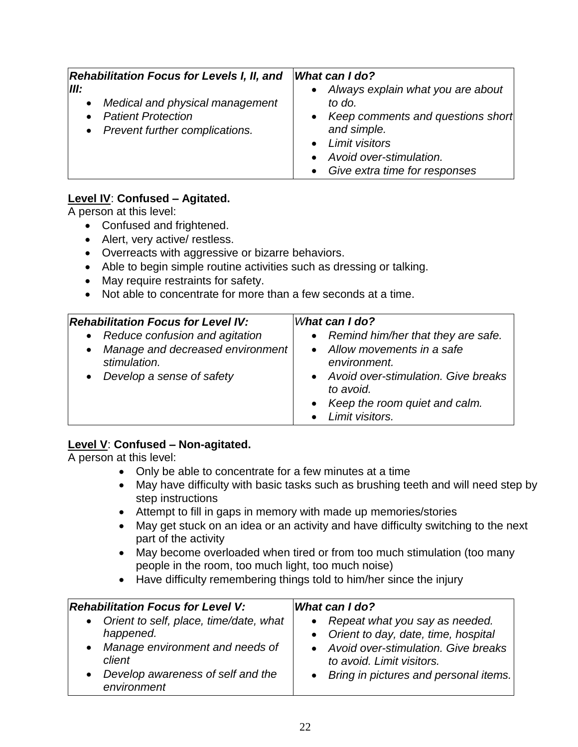| <b>Rehabilitation Focus for Levels I, II, and</b>                                                                                  | <b>What can I do?</b>                                                                                                                                                                          |
|------------------------------------------------------------------------------------------------------------------------------------|------------------------------------------------------------------------------------------------------------------------------------------------------------------------------------------------|
| III:<br>Medical and physical management<br>$\bullet$<br><b>Patient Protection</b><br>$\bullet$<br>• Prevent further complications. | Always explain what you are about<br>$\bullet$<br>to do.<br>• Keep comments and questions short<br>and simple.<br>• Limit visitors<br>Avoid over-stimulation.<br>Give extra time for responses |

### **Level IV**: **Confused – Agitated.**

A person at this level:

- Confused and frightened.
- Alert, very active/ restless.
- Overreacts with aggressive or bizarre behaviors.
- Able to begin simple routine activities such as dressing or talking.
- May require restraints for safety.
- Not able to concentrate for more than a few seconds at a time.

| <b>Rehabilitation Focus for Level IV:</b><br>• Reduce confusion and agitation<br>• Manage and decreased environment<br>stimulation.<br>• Develop a sense of safety | What can I do?<br>• Remind him/her that they are safe.<br>• Allow movements in a safe<br>environment.<br>• Avoid over-stimulation. Give breaks<br>to avoid. |
|--------------------------------------------------------------------------------------------------------------------------------------------------------------------|-------------------------------------------------------------------------------------------------------------------------------------------------------------|
|                                                                                                                                                                    | • Keep the room quiet and calm.<br>• Limit visitors.                                                                                                        |

#### **Level V**: **Confused – Non-agitated.**

A person at this level:

- Only be able to concentrate for a few minutes at a time
- May have difficulty with basic tasks such as brushing teeth and will need step by step instructions
- Attempt to fill in gaps in memory with made up memories/stories
- May get stuck on an idea or an activity and have difficulty switching to the next part of the activity
- May become overloaded when tired or from too much stimulation (too many people in the room, too much light, too much noise)
- Have difficulty remembering things told to him/her since the injury

| <b>Rehabilitation Focus for Level V:</b>                                                                                                                   | What can I do?                                                                                                                                                                             |
|------------------------------------------------------------------------------------------------------------------------------------------------------------|--------------------------------------------------------------------------------------------------------------------------------------------------------------------------------------------|
| • Orient to self, place, time/date, what<br>happened.<br>• Manage environment and needs of<br>client<br>• Develop awareness of self and the<br>environment | • Repeat what you say as needed.<br>• Orient to day, date, time, hospital<br>• Avoid over-stimulation. Give breaks<br>to avoid. Limit visitors.<br>• Bring in pictures and personal items. |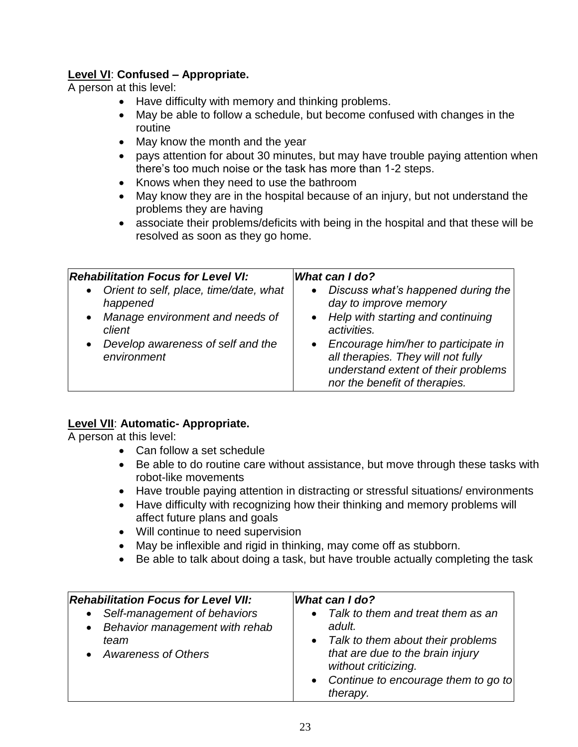### **Level VI**: **Confused – Appropriate.**

A person at this level:

- Have difficulty with memory and thinking problems.
- May be able to follow a schedule, but become confused with changes in the routine
- May know the month and the year
- pays attention for about 30 minutes, but may have trouble paying attention when there's too much noise or the task has more than 1-2 steps.
- Knows when they need to use the bathroom
- May know they are in the hospital because of an injury, but not understand the problems they are having
- associate their problems/deficits with being in the hospital and that these will be resolved as soon as they go home.

| <b>Rehabilitation Focus for Level VI:</b><br>• Orient to self, place, time/date, what | What can I do?<br>Discuss what's happened during the<br>$\bullet$                                                                                   |
|---------------------------------------------------------------------------------------|-----------------------------------------------------------------------------------------------------------------------------------------------------|
| happened                                                                              | day to improve memory                                                                                                                               |
| • Manage environment and needs of<br>client                                           | • Help with starting and continuing<br>activities.                                                                                                  |
| Develop awareness of self and the<br>$\bullet$<br>environment                         | • Encourage him/her to participate in<br>all therapies. They will not fully<br>understand extent of their problems<br>nor the benefit of therapies. |

#### **Level VII**: **Automatic- Appropriate.**

A person at this level:

- Can follow a set schedule
- Be able to do routine care without assistance, but move through these tasks with robot-like movements
- Have trouble paying attention in distracting or stressful situations/ environments
- Have difficulty with recognizing how their thinking and memory problems will affect future plans and goals
- Will continue to need supervision
- May be inflexible and rigid in thinking, may come off as stubborn.
- Be able to talk about doing a task, but have trouble actually completing the task

| <b>Rehabilitation Focus for Level VII:</b>                                                          | What can I do?                                                                                                                                                                                        |
|-----------------------------------------------------------------------------------------------------|-------------------------------------------------------------------------------------------------------------------------------------------------------------------------------------------------------|
| • Self-management of behaviors<br>• Behavior management with rehab<br>team<br>• Awareness of Others | • Talk to them and treat them as an<br>adult.<br>• Talk to them about their problems<br>that are due to the brain injury<br>without criticizing.<br>• Continue to encourage them to go to<br>therapy. |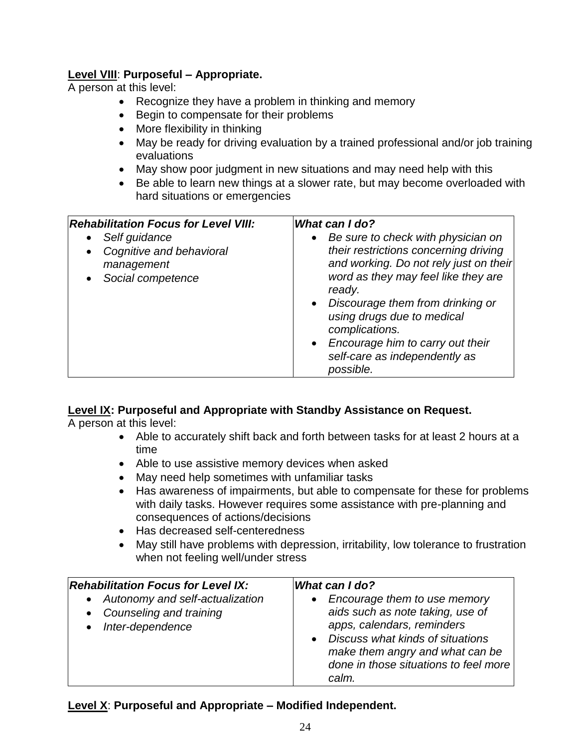#### **Level VIII**: **Purposeful – Appropriate.**

A person at this level:

- Recognize they have a problem in thinking and memory
- Begin to compensate for their problems
- More flexibility in thinking
- May be ready for driving evaluation by a trained professional and/or job training evaluations
- May show poor judgment in new situations and may need help with this
- Be able to learn new things at a slower rate, but may become overloaded with hard situations or emergencies

| self-care as independently as<br>possible. | <b>Rehabilitation Focus for Level VIII:</b><br>Self guidance<br>$\bullet$<br>Cognitive and behavioral<br>$\bullet$<br>management<br>Social competence | What can I do?<br>Be sure to check with physician on<br>their restrictions concerning driving<br>and working. Do not rely just on their<br>word as they may feel like they are<br>ready.<br>• Discourage them from drinking or<br>using drugs due to medical<br>complications.<br>• Encourage him to carry out their |
|--------------------------------------------|-------------------------------------------------------------------------------------------------------------------------------------------------------|----------------------------------------------------------------------------------------------------------------------------------------------------------------------------------------------------------------------------------------------------------------------------------------------------------------------|
|--------------------------------------------|-------------------------------------------------------------------------------------------------------------------------------------------------------|----------------------------------------------------------------------------------------------------------------------------------------------------------------------------------------------------------------------------------------------------------------------------------------------------------------------|

#### **Level IX: Purposeful and Appropriate with Standby Assistance on Request.**

A person at this level:

- Able to accurately shift back and forth between tasks for at least 2 hours at a time
- Able to use assistive memory devices when asked
- May need help sometimes with unfamiliar tasks
- Has awareness of impairments, but able to compensate for these for problems with daily tasks. However requires some assistance with pre-planning and consequences of actions/decisions
- Has decreased self-centeredness
- May still have problems with depression, irritability, low tolerance to frustration when not feeling well/under stress

| <b>Rehabilitation Focus for Level IX:</b>                                            | <b>What can I do?</b>                                                                                                                                                                                                       |
|--------------------------------------------------------------------------------------|-----------------------------------------------------------------------------------------------------------------------------------------------------------------------------------------------------------------------------|
| • Autonomy and self-actualization<br>• Counseling and training<br>• Inter-dependence | • Encourage them to use memory<br>aids such as note taking, use of<br>apps, calendars, reminders<br>• Discuss what kinds of situations<br>make them angry and what can be<br>done in those situations to feel more<br>calm. |

#### **Level X**: **Purposeful and Appropriate – Modified Independent.**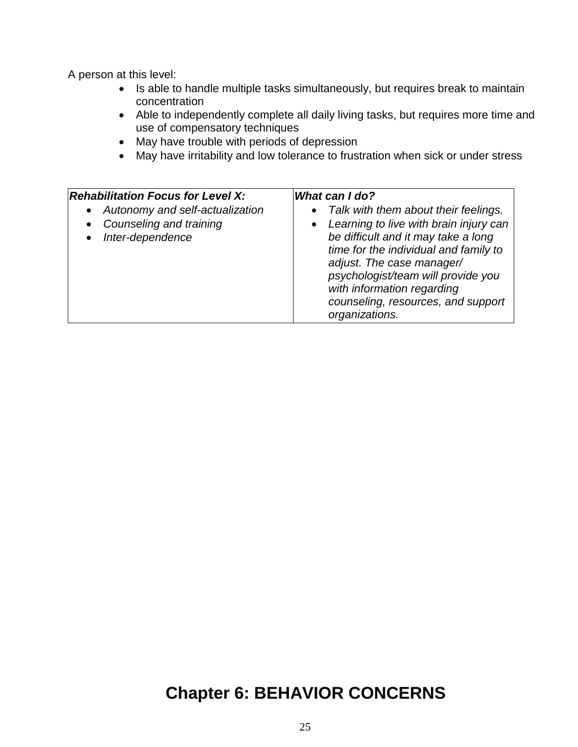A person at this level:

- Is able to handle multiple tasks simultaneously, but requires break to maintain concentration
- Able to independently complete all daily living tasks, but requires more time and use of compensatory techniques
- May have trouble with periods of depression
- May have irritability and low tolerance to frustration when sick or under stress

| <b>Rehabilitation Focus for Level X:</b>                                       | What can I do?                                                                                                                                                                                  |
|--------------------------------------------------------------------------------|-------------------------------------------------------------------------------------------------------------------------------------------------------------------------------------------------|
| Autonomy and self-actualization<br>Counseling and training<br>Inter-dependence | • Talk with them about their feelings.<br>• Learning to live with brain injury can<br>be difficult and it may take a long<br>time for the individual and family to<br>adjust. The case manager/ |
|                                                                                | psychologist/team will provide you<br>with information regarding<br>counseling, resources, and support<br>organizations.                                                                        |

# **Chapter 6: BEHAVIOR CONCERNS**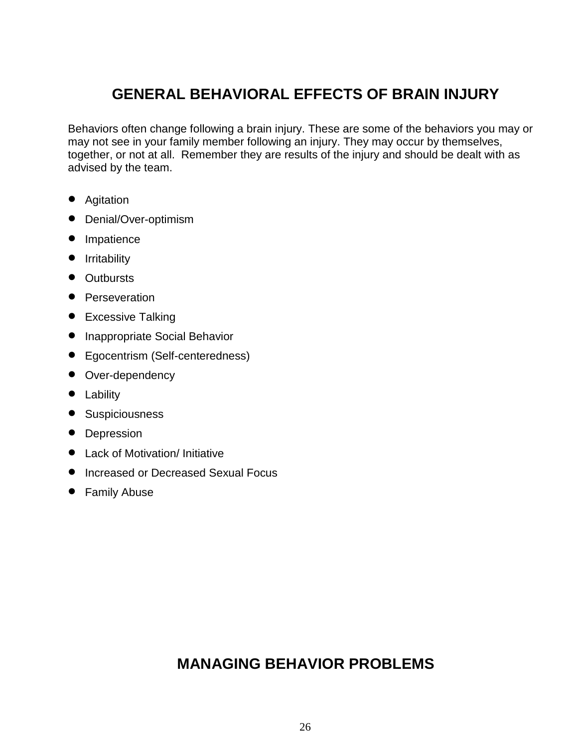# **GENERAL BEHAVIORAL EFFECTS OF BRAIN INJURY**

Behaviors often change following a brain injury. These are some of the behaviors you may or may not see in your family member following an injury. They may occur by themselves, together, or not at all. Remember they are results of the injury and should be dealt with as advised by the team.

- Agitation
- Denial/Over-optimism
- Impatience
- **•** Irritability
- Outbursts
- Perseveration
- Excessive Talking
- Inappropriate Social Behavior
- Egocentrism (Self-centeredness)
- Over-dependency
- Lability
- **•** Suspiciousness
- Depression
- **•** Lack of Motivation/ Initiative
- **Increased or Decreased Sexual Focus**
- Family Abuse

# **MANAGING BEHAVIOR PROBLEMS**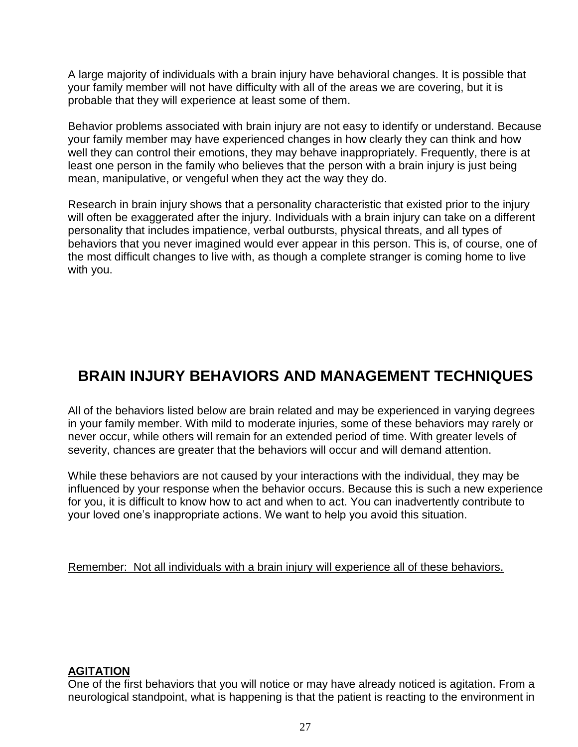A large majority of individuals with a brain injury have behavioral changes. It is possible that your family member will not have difficulty with all of the areas we are covering, but it is probable that they will experience at least some of them.

Behavior problems associated with brain injury are not easy to identify or understand. Because your family member may have experienced changes in how clearly they can think and how well they can control their emotions, they may behave inappropriately. Frequently, there is at least one person in the family who believes that the person with a brain injury is just being mean, manipulative, or vengeful when they act the way they do.

Research in brain injury shows that a personality characteristic that existed prior to the injury will often be exaggerated after the injury. Individuals with a brain injury can take on a different personality that includes impatience, verbal outbursts, physical threats, and all types of behaviors that you never imagined would ever appear in this person. This is, of course, one of the most difficult changes to live with, as though a complete stranger is coming home to live with you.

# **BRAIN INJURY BEHAVIORS AND MANAGEMENT TECHNIQUES**

All of the behaviors listed below are brain related and may be experienced in varying degrees in your family member. With mild to moderate injuries, some of these behaviors may rarely or never occur, while others will remain for an extended period of time. With greater levels of severity, chances are greater that the behaviors will occur and will demand attention.

While these behaviors are not caused by your interactions with the individual, they may be influenced by your response when the behavior occurs. Because this is such a new experience for you, it is difficult to know how to act and when to act. You can inadvertently contribute to your loved one's inappropriate actions. We want to help you avoid this situation.

Remember: Not all individuals with a brain injury will experience all of these behaviors.

#### **AGITATION**

One of the first behaviors that you will notice or may have already noticed is agitation. From a neurological standpoint, what is happening is that the patient is reacting to the environment in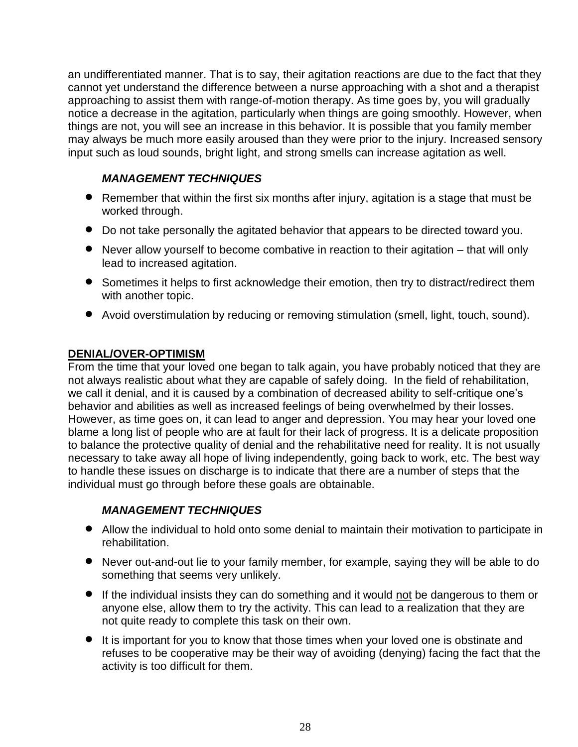an undifferentiated manner. That is to say, their agitation reactions are due to the fact that they cannot yet understand the difference between a nurse approaching with a shot and a therapist approaching to assist them with range-of-motion therapy. As time goes by, you will gradually notice a decrease in the agitation, particularly when things are going smoothly. However, when things are not, you will see an increase in this behavior. It is possible that you family member may always be much more easily aroused than they were prior to the injury. Increased sensory input such as loud sounds, bright light, and strong smells can increase agitation as well.

### *MANAGEMENT TECHNIQUES*

- Remember that within the first six months after injury, agitation is a stage that must be worked through.
- Do not take personally the agitated behavior that appears to be directed toward you.
- Never allow yourself to become combative in reaction to their agitation that will only lead to increased agitation.
- Sometimes it helps to first acknowledge their emotion, then try to distract/redirect them with another topic.
- Avoid overstimulation by reducing or removing stimulation (smell, light, touch, sound).

### **DENIAL/OVER-OPTIMISM**

From the time that your loved one began to talk again, you have probably noticed that they are not always realistic about what they are capable of safely doing. In the field of rehabilitation, we call it denial, and it is caused by a combination of decreased ability to self-critique one's behavior and abilities as well as increased feelings of being overwhelmed by their losses. However, as time goes on, it can lead to anger and depression. You may hear your loved one blame a long list of people who are at fault for their lack of progress. It is a delicate proposition to balance the protective quality of denial and the rehabilitative need for reality. It is not usually necessary to take away all hope of living independently, going back to work, etc. The best way to handle these issues on discharge is to indicate that there are a number of steps that the individual must go through before these goals are obtainable.

# *MANAGEMENT TECHNIQUES*

- Allow the individual to hold onto some denial to maintain their motivation to participate in rehabilitation.
- Never out-and-out lie to your family member, for example, saying they will be able to do something that seems very unlikely.
- If the individual insists they can do something and it would not be dangerous to them or anyone else, allow them to try the activity. This can lead to a realization that they are not quite ready to complete this task on their own.
- It is important for you to know that those times when your loved one is obstinate and refuses to be cooperative may be their way of avoiding (denying) facing the fact that the activity is too difficult for them.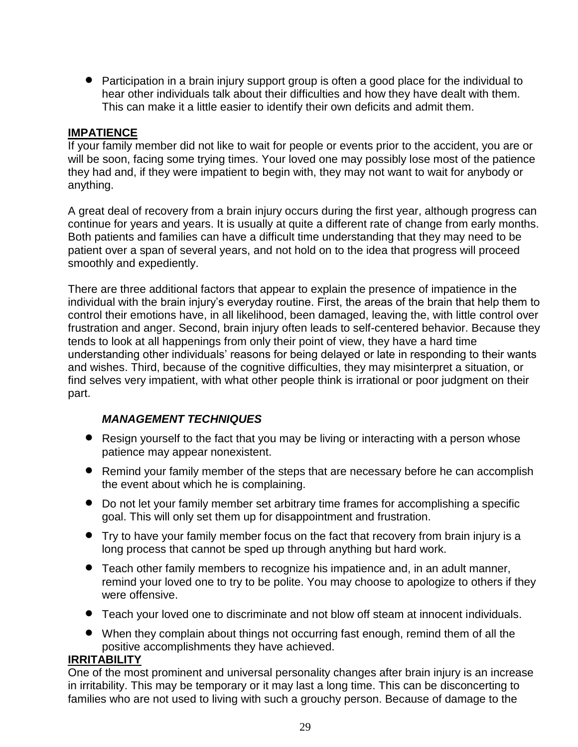Participation in a brain injury support group is often a good place for the individual to hear other individuals talk about their difficulties and how they have dealt with them. This can make it a little easier to identify their own deficits and admit them.

#### **IMPATIENCE**

If your family member did not like to wait for people or events prior to the accident, you are or will be soon, facing some trying times. Your loved one may possibly lose most of the patience they had and, if they were impatient to begin with, they may not want to wait for anybody or anything.

A great deal of recovery from a brain injury occurs during the first year, although progress can continue for years and years. It is usually at quite a different rate of change from early months. Both patients and families can have a difficult time understanding that they may need to be patient over a span of several years, and not hold on to the idea that progress will proceed smoothly and expediently.

There are three additional factors that appear to explain the presence of impatience in the individual with the brain injury's everyday routine. First, the areas of the brain that help them to control their emotions have, in all likelihood, been damaged, leaving the, with little control over frustration and anger. Second, brain injury often leads to self-centered behavior. Because they tends to look at all happenings from only their point of view, they have a hard time understanding other individuals' reasons for being delayed or late in responding to their wants and wishes. Third, because of the cognitive difficulties, they may misinterpret a situation, or find selves very impatient, with what other people think is irrational or poor judgment on their part.

#### *MANAGEMENT TECHNIQUES*

- Resign yourself to the fact that you may be living or interacting with a person whose patience may appear nonexistent.
- Remind your family member of the steps that are necessary before he can accomplish the event about which he is complaining.
- Do not let your family member set arbitrary time frames for accomplishing a specific goal. This will only set them up for disappointment and frustration.
- Try to have your family member focus on the fact that recovery from brain injury is a long process that cannot be sped up through anything but hard work.
- Teach other family members to recognize his impatience and, in an adult manner, remind your loved one to try to be polite. You may choose to apologize to others if they were offensive.
- Teach your loved one to discriminate and not blow off steam at innocent individuals.
- When they complain about things not occurring fast enough, remind them of all the positive accomplishments they have achieved.

#### **IRRITABILITY**

One of the most prominent and universal personality changes after brain injury is an increase in irritability. This may be temporary or it may last a long time. This can be disconcerting to families who are not used to living with such a grouchy person. Because of damage to the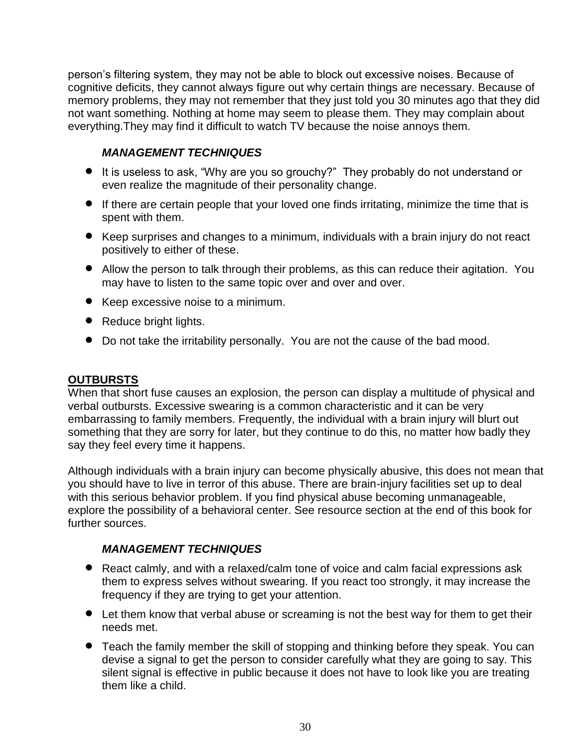person's filtering system, they may not be able to block out excessive noises. Because of cognitive deficits, they cannot always figure out why certain things are necessary. Because of memory problems, they may not remember that they just told you 30 minutes ago that they did not want something. Nothing at home may seem to please them. They may complain about everything.They may find it difficult to watch TV because the noise annoys them.

## *MANAGEMENT TECHNIQUES*

- It is useless to ask, "Why are you so grouchy?" They probably do not understand or even realize the magnitude of their personality change.
- If there are certain people that your loved one finds irritating, minimize the time that is spent with them.
- Keep surprises and changes to a minimum, individuals with a brain injury do not react positively to either of these.
- Allow the person to talk through their problems, as this can reduce their agitation. You may have to listen to the same topic over and over and over.
- Keep excessive noise to a minimum.
- Reduce bright lights.
- Do not take the irritability personally. You are not the cause of the bad mood.

#### **OUTBURSTS**

When that short fuse causes an explosion, the person can display a multitude of physical and verbal outbursts. Excessive swearing is a common characteristic and it can be very embarrassing to family members. Frequently, the individual with a brain injury will blurt out something that they are sorry for later, but they continue to do this, no matter how badly they say they feel every time it happens.

Although individuals with a brain injury can become physically abusive, this does not mean that you should have to live in terror of this abuse. There are brain-injury facilities set up to deal with this serious behavior problem. If you find physical abuse becoming unmanageable, explore the possibility of a behavioral center. See resource section at the end of this book for further sources.

#### *MANAGEMENT TECHNIQUES*

- React calmly, and with a relaxed/calm tone of voice and calm facial expressions ask them to express selves without swearing. If you react too strongly, it may increase the frequency if they are trying to get your attention.
- Let them know that verbal abuse or screaming is not the best way for them to get their needs met.
- Teach the family member the skill of stopping and thinking before they speak. You can devise a signal to get the person to consider carefully what they are going to say. This silent signal is effective in public because it does not have to look like you are treating them like a child.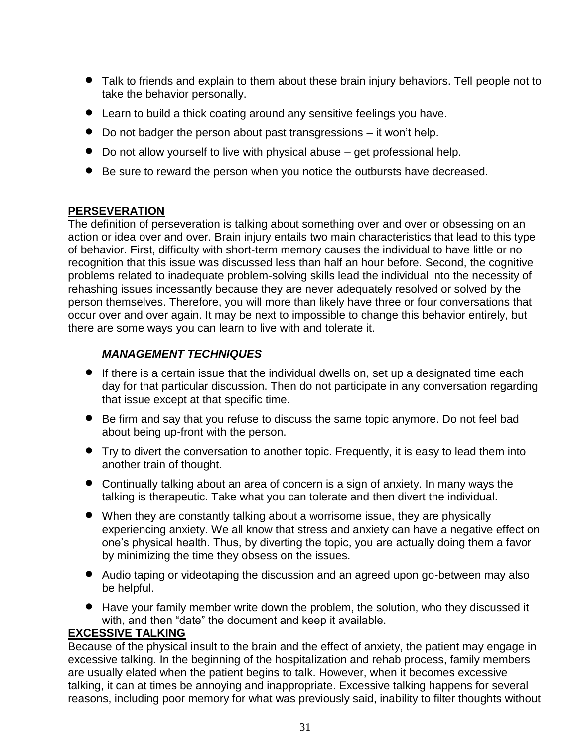- Talk to friends and explain to them about these brain injury behaviors. Tell people not to take the behavior personally.
- Learn to build a thick coating around any sensitive feelings you have.
- Do not badger the person about past transgressions it won't help.
- Do not allow yourself to live with physical abuse get professional help.
- Be sure to reward the person when you notice the outbursts have decreased.

#### **PERSEVERATION**

The definition of perseveration is talking about something over and over or obsessing on an action or idea over and over. Brain injury entails two main characteristics that lead to this type of behavior. First, difficulty with short-term memory causes the individual to have little or no recognition that this issue was discussed less than half an hour before. Second, the cognitive problems related to inadequate problem-solving skills lead the individual into the necessity of rehashing issues incessantly because they are never adequately resolved or solved by the person themselves. Therefore, you will more than likely have three or four conversations that occur over and over again. It may be next to impossible to change this behavior entirely, but there are some ways you can learn to live with and tolerate it.

# *MANAGEMENT TECHNIQUES*

- If there is a certain issue that the individual dwells on, set up a designated time each day for that particular discussion. Then do not participate in any conversation regarding that issue except at that specific time.
- Be firm and say that you refuse to discuss the same topic anymore. Do not feel bad about being up-front with the person.
- Try to divert the conversation to another topic. Frequently, it is easy to lead them into another train of thought.
- Continually talking about an area of concern is a sign of anxiety. In many ways the talking is therapeutic. Take what you can tolerate and then divert the individual.
- When they are constantly talking about a worrisome issue, they are physically experiencing anxiety. We all know that stress and anxiety can have a negative effect on one's physical health. Thus, by diverting the topic, you are actually doing them a favor by minimizing the time they obsess on the issues.
- Audio taping or videotaping the discussion and an agreed upon go-between may also be helpful.
- Have your family member write down the problem, the solution, who they discussed it with, and then "date" the document and keep it available.

# **EXCESSIVE TALKING**

Because of the physical insult to the brain and the effect of anxiety, the patient may engage in excessive talking. In the beginning of the hospitalization and rehab process, family members are usually elated when the patient begins to talk. However, when it becomes excessive talking, it can at times be annoying and inappropriate. Excessive talking happens for several reasons, including poor memory for what was previously said, inability to filter thoughts without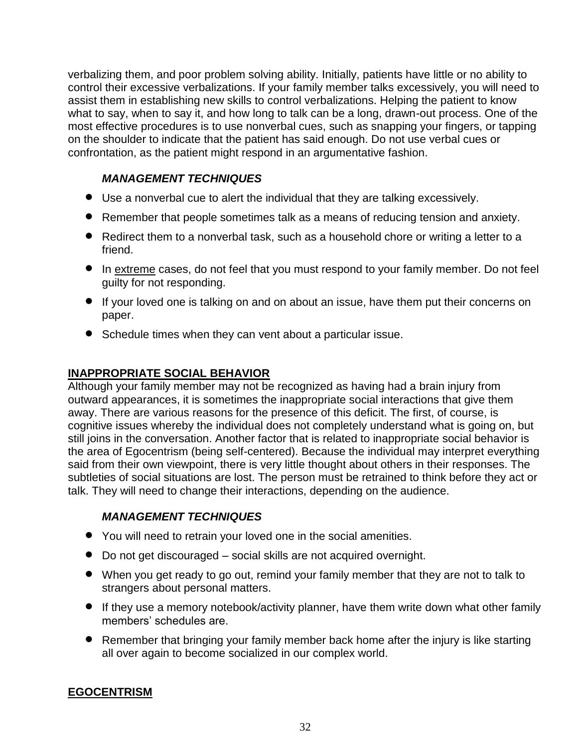verbalizing them, and poor problem solving ability. Initially, patients have little or no ability to control their excessive verbalizations. If your family member talks excessively, you will need to assist them in establishing new skills to control verbalizations. Helping the patient to know what to say, when to say it, and how long to talk can be a long, drawn-out process. One of the most effective procedures is to use nonverbal cues, such as snapping your fingers, or tapping on the shoulder to indicate that the patient has said enough. Do not use verbal cues or confrontation, as the patient might respond in an argumentative fashion.

### *MANAGEMENT TECHNIQUES*

- Use a nonverbal cue to alert the individual that they are talking excessively.
- Remember that people sometimes talk as a means of reducing tension and anxiety.
- Redirect them to a nonverbal task, such as a household chore or writing a letter to a friend.
- In extreme cases, do not feel that you must respond to your family member. Do not feel guilty for not responding.
- If your loved one is talking on and on about an issue, have them put their concerns on paper.
- Schedule times when they can vent about a particular issue.

#### **INAPPROPRIATE SOCIAL BEHAVIOR**

Although your family member may not be recognized as having had a brain injury from outward appearances, it is sometimes the inappropriate social interactions that give them away. There are various reasons for the presence of this deficit. The first, of course, is cognitive issues whereby the individual does not completely understand what is going on, but still joins in the conversation. Another factor that is related to inappropriate social behavior is the area of Egocentrism (being self-centered). Because the individual may interpret everything said from their own viewpoint, there is very little thought about others in their responses. The subtleties of social situations are lost. The person must be retrained to think before they act or talk. They will need to change their interactions, depending on the audience.

#### *MANAGEMENT TECHNIQUES*

- You will need to retrain your loved one in the social amenities.
- Do not get discouraged social skills are not acquired overnight.
- When you get ready to go out, remind your family member that they are not to talk to strangers about personal matters.
- If they use a memory notebook/activity planner, have them write down what other family members' schedules are.
- Remember that bringing your family member back home after the injury is like starting all over again to become socialized in our complex world.

# **EGOCENTRISM**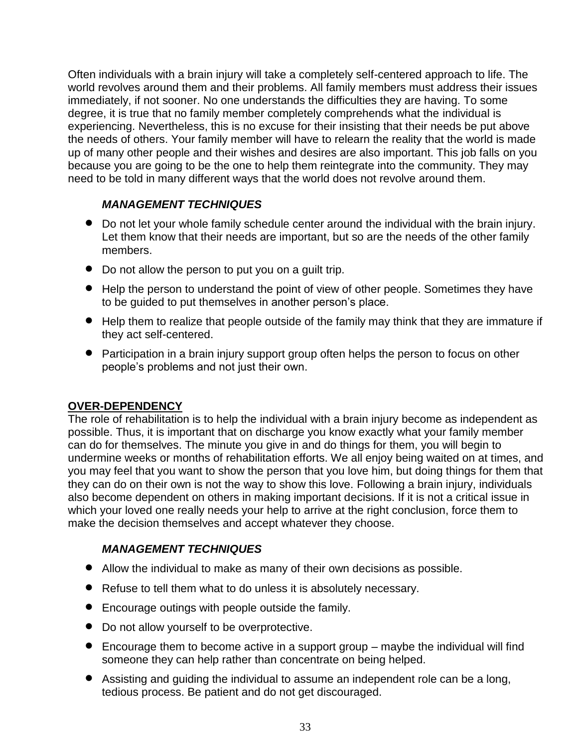Often individuals with a brain injury will take a completely self-centered approach to life. The world revolves around them and their problems. All family members must address their issues immediately, if not sooner. No one understands the difficulties they are having. To some degree, it is true that no family member completely comprehends what the individual is experiencing. Nevertheless, this is no excuse for their insisting that their needs be put above the needs of others. Your family member will have to relearn the reality that the world is made up of many other people and their wishes and desires are also important. This job falls on you because you are going to be the one to help them reintegrate into the community. They may need to be told in many different ways that the world does not revolve around them.

#### *MANAGEMENT TECHNIQUES*

- Do not let your whole family schedule center around the individual with the brain injury. Let them know that their needs are important, but so are the needs of the other family members.
- Do not allow the person to put you on a guilt trip.
- Help the person to understand the point of view of other people. Sometimes they have to be guided to put themselves in another person's place.
- Help them to realize that people outside of the family may think that they are immature if they act self-centered.
- Participation in a brain injury support group often helps the person to focus on other people's problems and not just their own.

#### **OVER-DEPENDENCY**

The role of rehabilitation is to help the individual with a brain injury become as independent as possible. Thus, it is important that on discharge you know exactly what your family member can do for themselves. The minute you give in and do things for them, you will begin to undermine weeks or months of rehabilitation efforts. We all enjoy being waited on at times, and you may feel that you want to show the person that you love him, but doing things for them that they can do on their own is not the way to show this love. Following a brain injury, individuals also become dependent on others in making important decisions. If it is not a critical issue in which your loved one really needs your help to arrive at the right conclusion, force them to make the decision themselves and accept whatever they choose.

#### *MANAGEMENT TECHNIQUES*

- Allow the individual to make as many of their own decisions as possible.
- Refuse to tell them what to do unless it is absolutely necessary.
- Encourage outings with people outside the family.
- Do not allow yourself to be overprotective.
- Encourage them to become active in a support group maybe the individual will find someone they can help rather than concentrate on being helped.
- Assisting and guiding the individual to assume an independent role can be a long, tedious process. Be patient and do not get discouraged.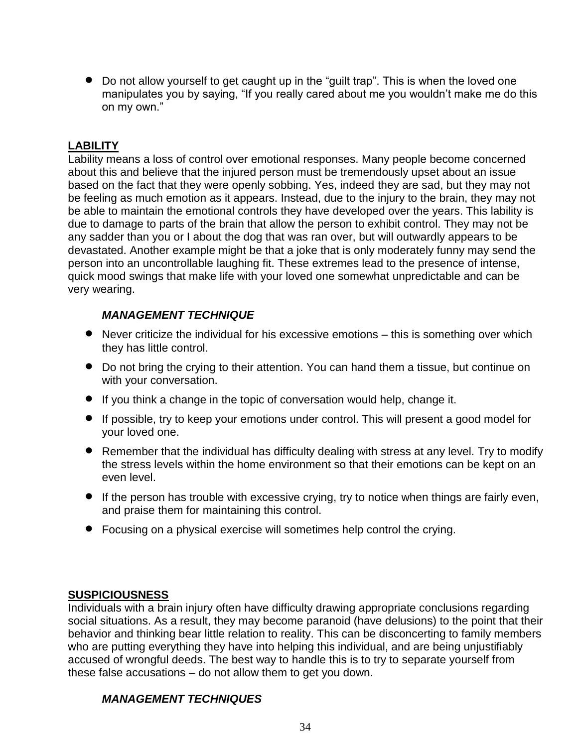• Do not allow yourself to get caught up in the "guilt trap". This is when the loved one manipulates you by saying, "If you really cared about me you wouldn't make me do this on my own."

#### **LABILITY**

Lability means a loss of control over emotional responses. Many people become concerned about this and believe that the injured person must be tremendously upset about an issue based on the fact that they were openly sobbing. Yes, indeed they are sad, but they may not be feeling as much emotion as it appears. Instead, due to the injury to the brain, they may not be able to maintain the emotional controls they have developed over the years. This lability is due to damage to parts of the brain that allow the person to exhibit control. They may not be any sadder than you or I about the dog that was ran over, but will outwardly appears to be devastated. Another example might be that a joke that is only moderately funny may send the person into an uncontrollable laughing fit. These extremes lead to the presence of intense, quick mood swings that make life with your loved one somewhat unpredictable and can be very wearing.

#### *MANAGEMENT TECHNIQUE*

- Never criticize the individual for his excessive emotions this is something over which they has little control.
- Do not bring the crying to their attention. You can hand them a tissue, but continue on with your conversation.
- If you think a change in the topic of conversation would help, change it.
- If possible, try to keep your emotions under control. This will present a good model for your loved one.
- Remember that the individual has difficulty dealing with stress at any level. Try to modify the stress levels within the home environment so that their emotions can be kept on an even level.
- If the person has trouble with excessive crying, try to notice when things are fairly even, and praise them for maintaining this control.
- Focusing on a physical exercise will sometimes help control the crying.

#### **SUSPICIOUSNESS**

Individuals with a brain injury often have difficulty drawing appropriate conclusions regarding social situations. As a result, they may become paranoid (have delusions) to the point that their behavior and thinking bear little relation to reality. This can be disconcerting to family members who are putting everything they have into helping this individual, and are being unjustifiably accused of wrongful deeds. The best way to handle this is to try to separate yourself from these false accusations – do not allow them to get you down.

#### *MANAGEMENT TECHNIQUES*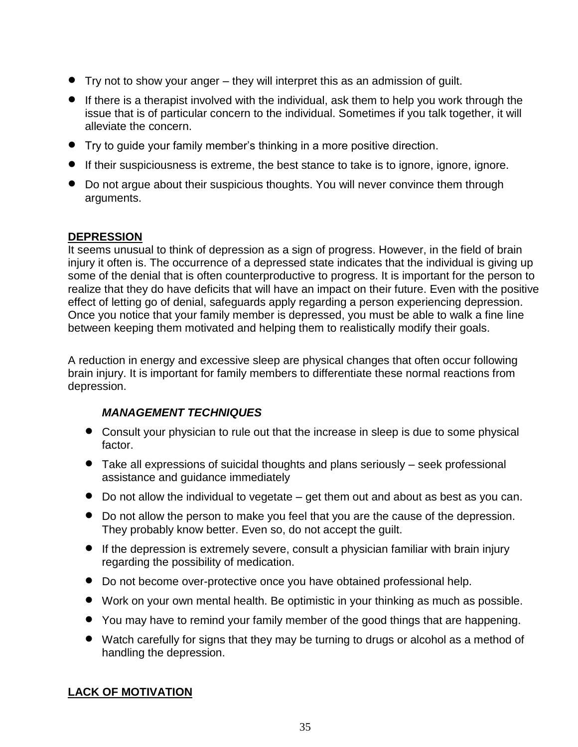- Try not to show your anger they will interpret this as an admission of guilt.
- If there is a therapist involved with the individual, ask them to help you work through the issue that is of particular concern to the individual. Sometimes if you talk together, it will alleviate the concern.
- Try to guide your family member's thinking in a more positive direction.
- If their suspiciousness is extreme, the best stance to take is to ignore, ignore, ignore.
- Do not argue about their suspicious thoughts. You will never convince them through arguments.

#### **DEPRESSION**

It seems unusual to think of depression as a sign of progress. However, in the field of brain injury it often is. The occurrence of a depressed state indicates that the individual is giving up some of the denial that is often counterproductive to progress. It is important for the person to realize that they do have deficits that will have an impact on their future. Even with the positive effect of letting go of denial, safeguards apply regarding a person experiencing depression. Once you notice that your family member is depressed, you must be able to walk a fine line between keeping them motivated and helping them to realistically modify their goals.

A reduction in energy and excessive sleep are physical changes that often occur following brain injury. It is important for family members to differentiate these normal reactions from depression.

#### *MANAGEMENT TECHNIQUES*

- Consult your physician to rule out that the increase in sleep is due to some physical factor.
- Take all expressions of suicidal thoughts and plans seriously seek professional assistance and guidance immediately
- Do not allow the individual to vegetate get them out and about as best as you can.
- Do not allow the person to make you feel that you are the cause of the depression. They probably know better. Even so, do not accept the guilt.
- If the depression is extremely severe, consult a physician familiar with brain injury regarding the possibility of medication.
- Do not become over-protective once you have obtained professional help.
- Work on your own mental health. Be optimistic in your thinking as much as possible.
- You may have to remind your family member of the good things that are happening.
- Watch carefully for signs that they may be turning to drugs or alcohol as a method of handling the depression.

# **LACK OF MOTIVATION**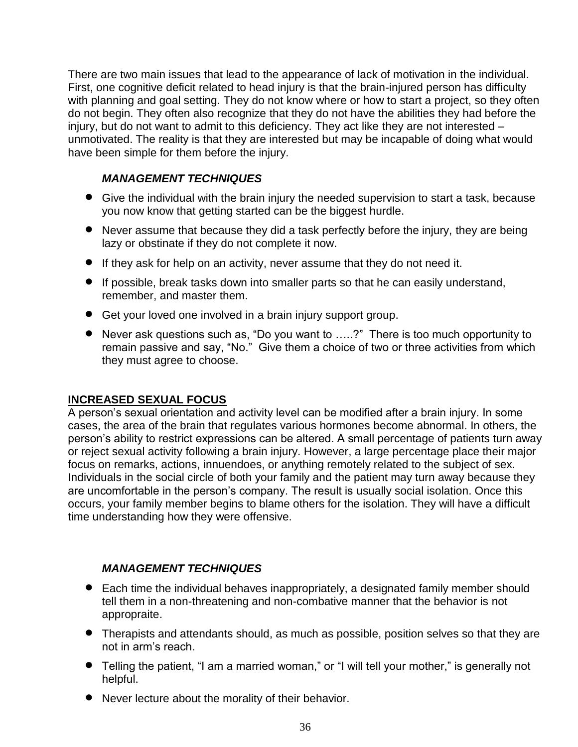There are two main issues that lead to the appearance of lack of motivation in the individual. First, one cognitive deficit related to head injury is that the brain-injured person has difficulty with planning and goal setting. They do not know where or how to start a project, so they often do not begin. They often also recognize that they do not have the abilities they had before the injury, but do not want to admit to this deficiency. They act like they are not interested – unmotivated. The reality is that they are interested but may be incapable of doing what would have been simple for them before the injury.

#### *MANAGEMENT TECHNIQUES*

- Give the individual with the brain injury the needed supervision to start a task, because you now know that getting started can be the biggest hurdle.
- Never assume that because they did a task perfectly before the injury, they are being lazy or obstinate if they do not complete it now.
- If they ask for help on an activity, never assume that they do not need it.
- If possible, break tasks down into smaller parts so that he can easily understand, remember, and master them.
- Get your loved one involved in a brain injury support group.
- Never ask questions such as, "Do you want to .....?" There is too much opportunity to remain passive and say, "No." Give them a choice of two or three activities from which they must agree to choose.

#### **INCREASED SEXUAL FOCUS**

A person's sexual orientation and activity level can be modified after a brain injury. In some cases, the area of the brain that regulates various hormones become abnormal. In others, the person's ability to restrict expressions can be altered. A small percentage of patients turn away or reject sexual activity following a brain injury. However, a large percentage place their major focus on remarks, actions, innuendoes, or anything remotely related to the subject of sex. Individuals in the social circle of both your family and the patient may turn away because they are uncomfortable in the person's company. The result is usually social isolation. Once this occurs, your family member begins to blame others for the isolation. They will have a difficult time understanding how they were offensive.

#### *MANAGEMENT TECHNIQUES*

- Each time the individual behaves inappropriately, a designated family member should tell them in a non-threatening and non-combative manner that the behavior is not appropraite.
- Therapists and attendants should, as much as possible, position selves so that they are not in arm's reach.
- Telling the patient, "I am a married woman," or "I will tell your mother," is generally not helpful.
- Never lecture about the morality of their behavior.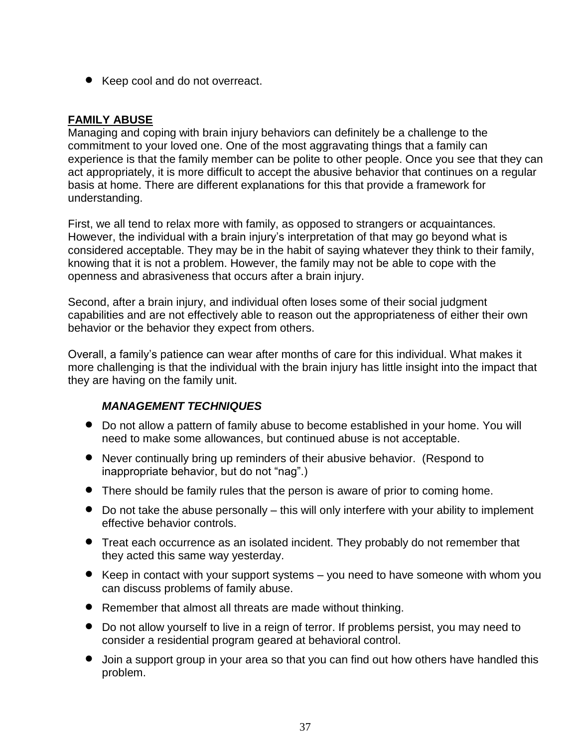● Keep cool and do not overreact.

#### **FAMILY ABUSE**

Managing and coping with brain injury behaviors can definitely be a challenge to the commitment to your loved one. One of the most aggravating things that a family can experience is that the family member can be polite to other people. Once you see that they can act appropriately, it is more difficult to accept the abusive behavior that continues on a regular basis at home. There are different explanations for this that provide a framework for understanding.

First, we all tend to relax more with family, as opposed to strangers or acquaintances. However, the individual with a brain injury's interpretation of that may go beyond what is considered acceptable. They may be in the habit of saying whatever they think to their family, knowing that it is not a problem. However, the family may not be able to cope with the openness and abrasiveness that occurs after a brain injury.

Second, after a brain injury, and individual often loses some of their social judgment capabilities and are not effectively able to reason out the appropriateness of either their own behavior or the behavior they expect from others.

Overall, a family's patience can wear after months of care for this individual. What makes it more challenging is that the individual with the brain injury has little insight into the impact that they are having on the family unit.

#### *MANAGEMENT TECHNIQUES*

- Do not allow a pattern of family abuse to become established in your home. You will need to make some allowances, but continued abuse is not acceptable.
- Never continually bring up reminders of their abusive behavior. (Respond to inappropriate behavior, but do not "nag".)
- There should be family rules that the person is aware of prior to coming home.
- Do not take the abuse personally this will only interfere with your ability to implement effective behavior controls.
- Treat each occurrence as an isolated incident. They probably do not remember that they acted this same way yesterday.
- Keep in contact with your support systems you need to have someone with whom you can discuss problems of family abuse.
- Remember that almost all threats are made without thinking.
- Do not allow yourself to live in a reign of terror. If problems persist, you may need to consider a residential program geared at behavioral control.
- Join a support group in your area so that you can find out how others have handled this problem.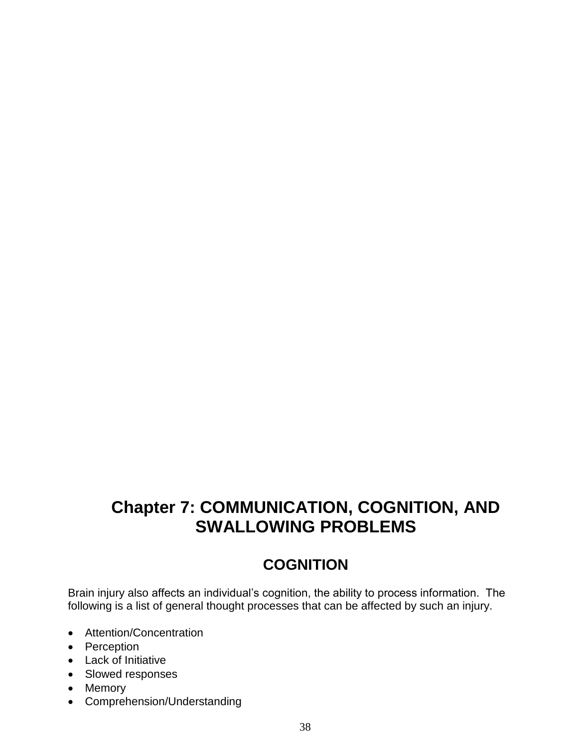# **Chapter 7: COMMUNICATION, COGNITION, AND SWALLOWING PROBLEMS**

# **COGNITION**

Brain injury also affects an individual's cognition, the ability to process information. The following is a list of general thought processes that can be affected by such an injury.

- Attention/Concentration
- Perception
- Lack of Initiative
- Slowed responses
- Memory
- Comprehension/Understanding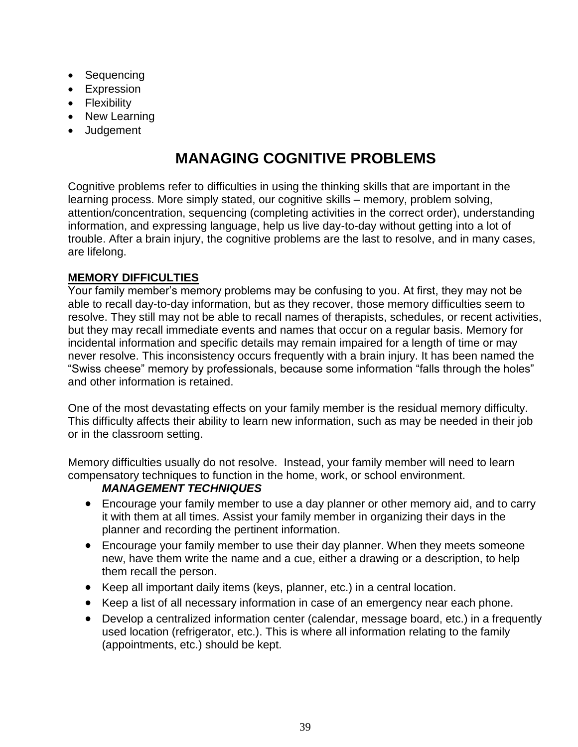- Sequencing
- Expression
- Flexibility
- New Learning
- Judgement

# **MANAGING COGNITIVE PROBLEMS**

Cognitive problems refer to difficulties in using the thinking skills that are important in the learning process. More simply stated, our cognitive skills – memory, problem solving, attention/concentration, sequencing (completing activities in the correct order), understanding information, and expressing language, help us live day-to-day without getting into a lot of trouble. After a brain injury, the cognitive problems are the last to resolve, and in many cases, are lifelong.

### **MEMORY DIFFICULTIES**

Your family member's memory problems may be confusing to you. At first, they may not be able to recall day-to-day information, but as they recover, those memory difficulties seem to resolve. They still may not be able to recall names of therapists, schedules, or recent activities, but they may recall immediate events and names that occur on a regular basis. Memory for incidental information and specific details may remain impaired for a length of time or may never resolve. This inconsistency occurs frequently with a brain injury. It has been named the "Swiss cheese" memory by professionals, because some information "falls through the holes" and other information is retained.

One of the most devastating effects on your family member is the residual memory difficulty. This difficulty affects their ability to learn new information, such as may be needed in their job or in the classroom setting.

Memory difficulties usually do not resolve. Instead, your family member will need to learn compensatory techniques to function in the home, work, or school environment.

#### *MANAGEMENT TECHNIQUES*

- Encourage your family member to use a day planner or other memory aid, and to carry it with them at all times. Assist your family member in organizing their days in the planner and recording the pertinent information.
- Encourage your family member to use their day planner. When they meets someone new, have them write the name and a cue, either a drawing or a description, to help them recall the person.
- Keep all important daily items (keys, planner, etc.) in a central location.
- Keep a list of all necessary information in case of an emergency near each phone.
- Develop a centralized information center (calendar, message board, etc.) in a frequently used location (refrigerator, etc.). This is where all information relating to the family (appointments, etc.) should be kept.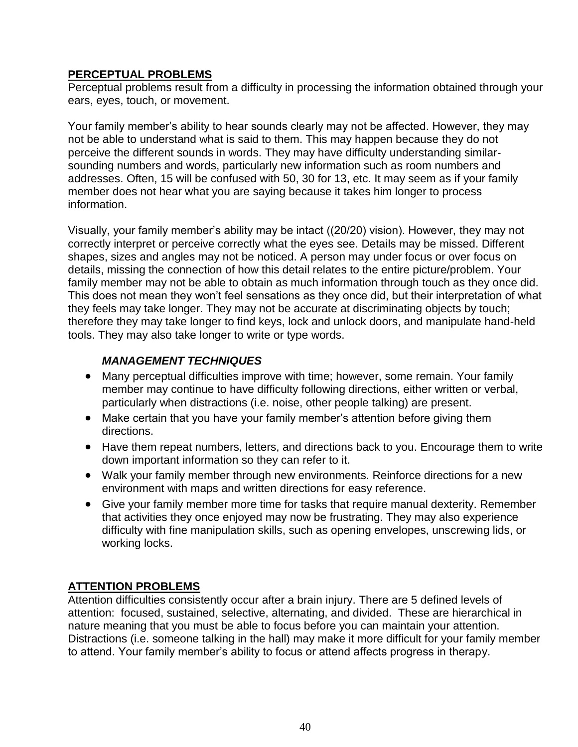#### **PERCEPTUAL PROBLEMS**

Perceptual problems result from a difficulty in processing the information obtained through your ears, eyes, touch, or movement.

Your family member's ability to hear sounds clearly may not be affected. However, they may not be able to understand what is said to them. This may happen because they do not perceive the different sounds in words. They may have difficulty understanding similarsounding numbers and words, particularly new information such as room numbers and addresses. Often, 15 will be confused with 50, 30 for 13, etc. It may seem as if your family member does not hear what you are saying because it takes him longer to process information.

Visually, your family member's ability may be intact ((20/20) vision). However, they may not correctly interpret or perceive correctly what the eyes see. Details may be missed. Different shapes, sizes and angles may not be noticed. A person may under focus or over focus on details, missing the connection of how this detail relates to the entire picture/problem. Your family member may not be able to obtain as much information through touch as they once did. This does not mean they won't feel sensations as they once did, but their interpretation of what they feels may take longer. They may not be accurate at discriminating objects by touch; therefore they may take longer to find keys, lock and unlock doors, and manipulate hand-held tools. They may also take longer to write or type words.

#### *MANAGEMENT TECHNIQUES*

- Many perceptual difficulties improve with time; however, some remain. Your family member may continue to have difficulty following directions, either written or verbal, particularly when distractions (i.e. noise, other people talking) are present.
- Make certain that you have your family member's attention before giving them directions.
- Have them repeat numbers, letters, and directions back to you. Encourage them to write down important information so they can refer to it.
- Walk your family member through new environments. Reinforce directions for a new environment with maps and written directions for easy reference.
- Give your family member more time for tasks that require manual dexterity. Remember that activities they once enjoyed may now be frustrating. They may also experience difficulty with fine manipulation skills, such as opening envelopes, unscrewing lids, or working locks.

#### **ATTENTION PROBLEMS**

Attention difficulties consistently occur after a brain injury. There are 5 defined levels of attention: focused, sustained, selective, alternating, and divided. These are hierarchical in nature meaning that you must be able to focus before you can maintain your attention. Distractions (i.e. someone talking in the hall) may make it more difficult for your family member to attend. Your family member's ability to focus or attend affects progress in therapy.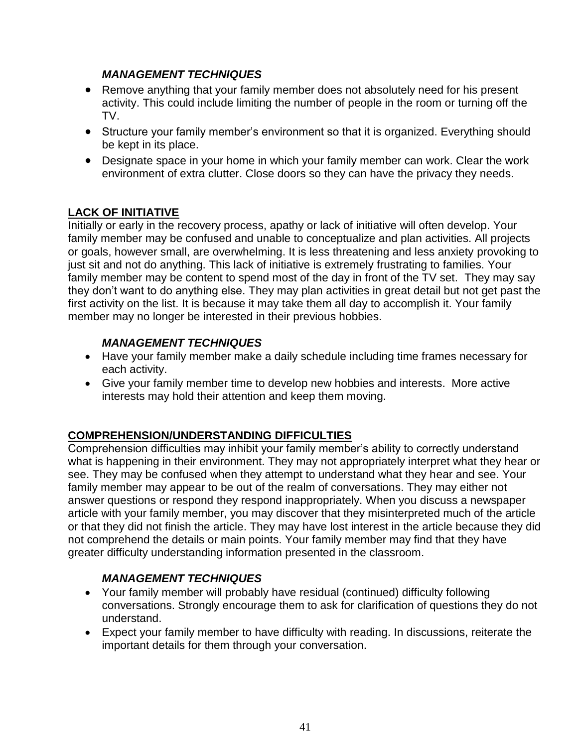### *MANAGEMENT TECHNIQUES*

- Remove anything that your family member does not absolutely need for his present activity. This could include limiting the number of people in the room or turning off the TV.
- Structure your family member's environment so that it is organized. Everything should be kept in its place.
- Designate space in your home in which your family member can work. Clear the work environment of extra clutter. Close doors so they can have the privacy they needs.

# **LACK OF INITIATIVE**

Initially or early in the recovery process, apathy or lack of initiative will often develop. Your family member may be confused and unable to conceptualize and plan activities. All projects or goals, however small, are overwhelming. It is less threatening and less anxiety provoking to just sit and not do anything. This lack of initiative is extremely frustrating to families. Your family member may be content to spend most of the day in front of the TV set. They may say they don't want to do anything else. They may plan activities in great detail but not get past the first activity on the list. It is because it may take them all day to accomplish it. Your family member may no longer be interested in their previous hobbies.

### *MANAGEMENT TECHNIQUES*

- Have your family member make a daily schedule including time frames necessary for each activity.
- Give your family member time to develop new hobbies and interests. More active interests may hold their attention and keep them moving.

# **COMPREHENSION/UNDERSTANDING DIFFICULTIES**

Comprehension difficulties may inhibit your family member's ability to correctly understand what is happening in their environment. They may not appropriately interpret what they hear or see. They may be confused when they attempt to understand what they hear and see. Your family member may appear to be out of the realm of conversations. They may either not answer questions or respond they respond inappropriately. When you discuss a newspaper article with your family member, you may discover that they misinterpreted much of the article or that they did not finish the article. They may have lost interest in the article because they did not comprehend the details or main points. Your family member may find that they have greater difficulty understanding information presented in the classroom.

#### *MANAGEMENT TECHNIQUES*

- Your family member will probably have residual (continued) difficulty following conversations. Strongly encourage them to ask for clarification of questions they do not understand.
- Expect your family member to have difficulty with reading. In discussions, reiterate the important details for them through your conversation.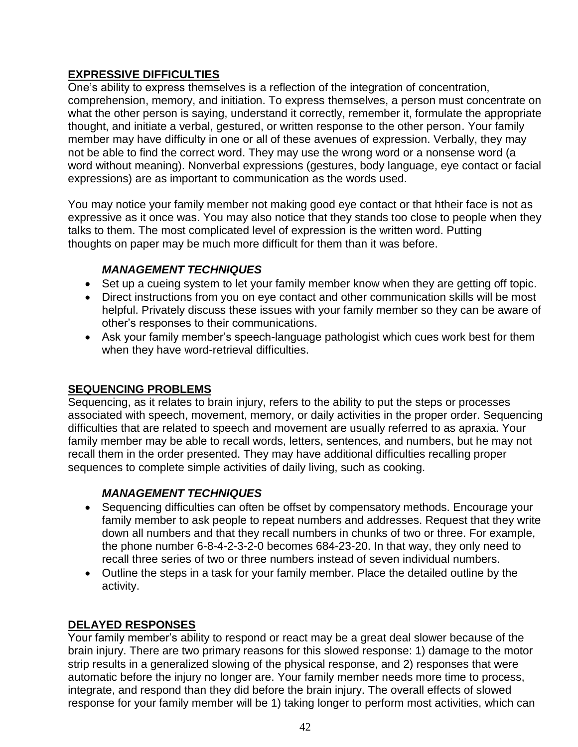### **EXPRESSIVE DIFFICULTIES**

One's ability to express themselves is a reflection of the integration of concentration, comprehension, memory, and initiation. To express themselves, a person must concentrate on what the other person is saying, understand it correctly, remember it, formulate the appropriate thought, and initiate a verbal, gestured, or written response to the other person. Your family member may have difficulty in one or all of these avenues of expression. Verbally, they may not be able to find the correct word. They may use the wrong word or a nonsense word (a word without meaning). Nonverbal expressions (gestures, body language, eye contact or facial expressions) are as important to communication as the words used.

You may notice your family member not making good eye contact or that htheir face is not as expressive as it once was. You may also notice that they stands too close to people when they talks to them. The most complicated level of expression is the written word. Putting thoughts on paper may be much more difficult for them than it was before.

### *MANAGEMENT TECHNIQUES*

- Set up a cueing system to let your family member know when they are getting off topic.
- Direct instructions from you on eye contact and other communication skills will be most helpful. Privately discuss these issues with your family member so they can be aware of other's responses to their communications.
- Ask your family member's speech-language pathologist which cues work best for them when they have word-retrieval difficulties.

#### **SEQUENCING PROBLEMS**

Sequencing, as it relates to brain injury, refers to the ability to put the steps or processes associated with speech, movement, memory, or daily activities in the proper order. Sequencing difficulties that are related to speech and movement are usually referred to as apraxia. Your family member may be able to recall words, letters, sentences, and numbers, but he may not recall them in the order presented. They may have additional difficulties recalling proper sequences to complete simple activities of daily living, such as cooking.

# *MANAGEMENT TECHNIQUES*

- Sequencing difficulties can often be offset by compensatory methods. Encourage your family member to ask people to repeat numbers and addresses. Request that they write down all numbers and that they recall numbers in chunks of two or three. For example, the phone number 6-8-4-2-3-2-0 becomes 684-23-20. In that way, they only need to recall three series of two or three numbers instead of seven individual numbers.
- Outline the steps in a task for your family member. Place the detailed outline by the activity.

# **DELAYED RESPONSES**

Your family member's ability to respond or react may be a great deal slower because of the brain injury. There are two primary reasons for this slowed response: 1) damage to the motor strip results in a generalized slowing of the physical response, and 2) responses that were automatic before the injury no longer are. Your family member needs more time to process, integrate, and respond than they did before the brain injury. The overall effects of slowed response for your family member will be 1) taking longer to perform most activities, which can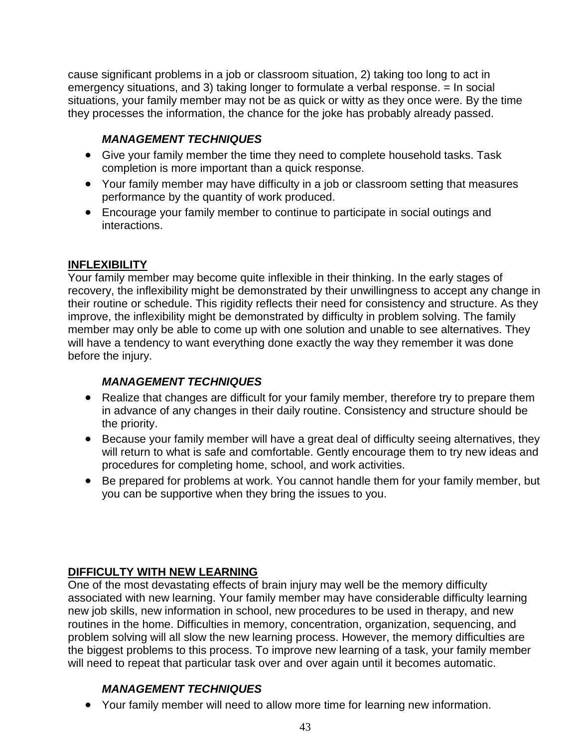cause significant problems in a job or classroom situation, 2) taking too long to act in emergency situations, and 3) taking longer to formulate a verbal response. = In social situations, your family member may not be as quick or witty as they once were. By the time they processes the information, the chance for the joke has probably already passed.

# *MANAGEMENT TECHNIQUES*

- Give your family member the time they need to complete household tasks. Task completion is more important than a quick response.
- Your family member may have difficulty in a job or classroom setting that measures performance by the quantity of work produced.
- Encourage your family member to continue to participate in social outings and interactions.

### **INFLEXIBILITY**

Your family member may become quite inflexible in their thinking. In the early stages of recovery, the inflexibility might be demonstrated by their unwillingness to accept any change in their routine or schedule. This rigidity reflects their need for consistency and structure. As they improve, the inflexibility might be demonstrated by difficulty in problem solving. The family member may only be able to come up with one solution and unable to see alternatives. They will have a tendency to want everything done exactly the way they remember it was done before the injury.

# *MANAGEMENT TECHNIQUES*

- Realize that changes are difficult for your family member, therefore try to prepare them in advance of any changes in their daily routine. Consistency and structure should be the priority.
- Because your family member will have a great deal of difficulty seeing alternatives, they will return to what is safe and comfortable. Gently encourage them to try new ideas and procedures for completing home, school, and work activities.
- Be prepared for problems at work. You cannot handle them for your family member, but you can be supportive when they bring the issues to you.

# **DIFFICULTY WITH NEW LEARNING**

One of the most devastating effects of brain injury may well be the memory difficulty associated with new learning. Your family member may have considerable difficulty learning new job skills, new information in school, new procedures to be used in therapy, and new routines in the home. Difficulties in memory, concentration, organization, sequencing, and problem solving will all slow the new learning process. However, the memory difficulties are the biggest problems to this process. To improve new learning of a task, your family member will need to repeat that particular task over and over again until it becomes automatic.

# *MANAGEMENT TECHNIQUES*

Your family member will need to allow more time for learning new information.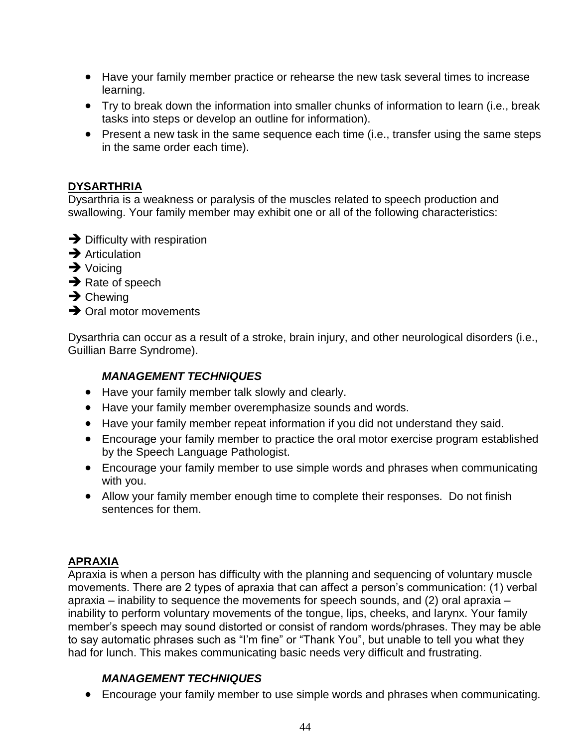- Have your family member practice or rehearse the new task several times to increase learning.
- Try to break down the information into smaller chunks of information to learn (i.e., break tasks into steps or develop an outline for information).
- Present a new task in the same sequence each time (i.e., transfer using the same steps in the same order each time).

#### **DYSARTHRIA**

Dysarthria is a weakness or paralysis of the muscles related to speech production and swallowing. Your family member may exhibit one or all of the following characteristics:

- $\rightarrow$  Difficulty with respiration
- $\rightarrow$  Articulation
- $\rightarrow$  Voicing
- $\rightarrow$  Rate of speech
- $\rightarrow$  Chewing
- $\rightarrow$  Oral motor movements

Dysarthria can occur as a result of a stroke, brain injury, and other neurological disorders (i.e., Guillian Barre Syndrome).

#### *MANAGEMENT TECHNIQUES*

- Have your family member talk slowly and clearly.
- Have your family member overemphasize sounds and words.
- Have your family member repeat information if you did not understand they said.
- Encourage your family member to practice the oral motor exercise program established by the Speech Language Pathologist.
- Encourage your family member to use simple words and phrases when communicating with you.
- Allow your family member enough time to complete their responses. Do not finish sentences for them.

#### **APRAXIA**

Apraxia is when a person has difficulty with the planning and sequencing of voluntary muscle movements. There are 2 types of apraxia that can affect a person's communication: (1) verbal apraxia – inability to sequence the movements for speech sounds, and (2) oral apraxia – inability to perform voluntary movements of the tongue, lips, cheeks, and larynx. Your family member's speech may sound distorted or consist of random words/phrases. They may be able to say automatic phrases such as "I'm fine" or "Thank You", but unable to tell you what they had for lunch. This makes communicating basic needs very difficult and frustrating.

#### *MANAGEMENT TECHNIQUES*

Encourage your family member to use simple words and phrases when communicating.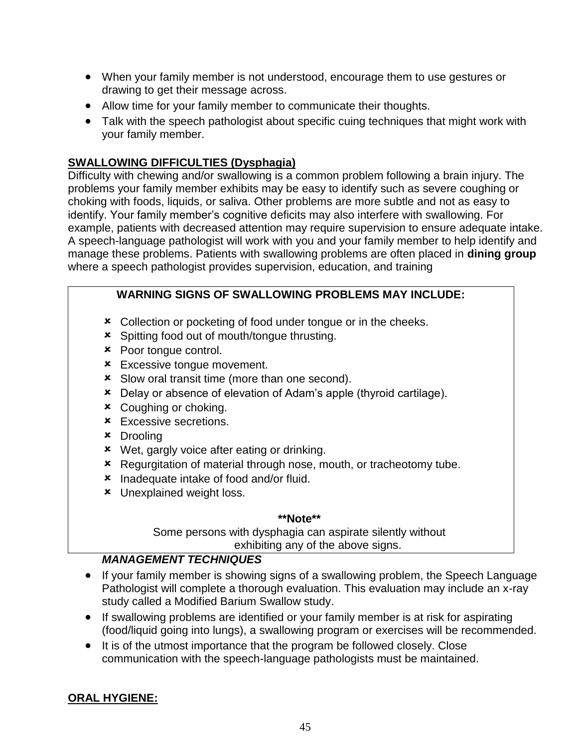- When your family member is not understood, encourage them to use gestures or drawing to get their message across.
- Allow time for your family member to communicate their thoughts.
- Talk with the speech pathologist about specific cuing techniques that might work with your family member.

#### **SWALLOWING DIFFICULTIES (Dysphagia)**

Difficulty with chewing and/or swallowing is a common problem following a brain injury. The problems your family member exhibits may be easy to identify such as severe coughing or choking with foods, liquids, or saliva. Other problems are more subtle and not as easy to identify. Your family member's cognitive deficits may also interfere with swallowing. For example, patients with decreased attention may require supervision to ensure adequate intake. A speech-language pathologist will work with you and your family member to help identify and manage these problems. Patients with swallowing problems are often placed in **dining group** where a speech pathologist provides supervision, education, and training

#### **WARNING SIGNS OF SWALLOWING PROBLEMS MAY INCLUDE:**

- **x** Collection or pocketing of food under tongue or in the cheeks.
- Spitting food out of mouth/tongue thrusting.
- **\*** Poor tongue control.
- **\*** Excessive tongue movement.
- **x** Slow oral transit time (more than one second).
- Delay or absence of elevation of Adam's apple (thyroid cartilage).
- Coughing or choking.
- **\*** Excessive secretions.
- Drooling
- Wet, gargly voice after eating or drinking.
- **\*** Regurgitation of material through nose, mouth, or tracheotomy tube.
- **\*** Inadequate intake of food and/or fluid.
- **\*** Unexplained weight loss.

#### **\*\*Note\*\***

Some persons with dysphagia can aspirate silently without exhibiting any of the above signs.

#### *MANAGEMENT TECHNIQUES*

- If your family member is showing signs of a swallowing problem, the Speech Language Pathologist will complete a thorough evaluation. This evaluation may include an x-ray study called a Modified Barium Swallow study.
- If swallowing problems are identified or your family member is at risk for aspirating (food/liquid going into lungs), a swallowing program or exercises will be recommended.
- It is of the utmost importance that the program be followed closely. Close communication with the speech-language pathologists must be maintained.

#### **ORAL HYGIENE:**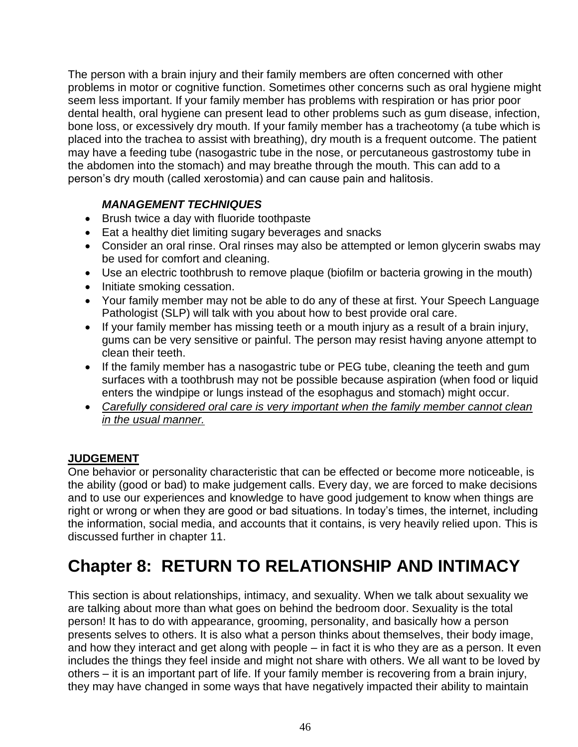The person with a brain injury and their family members are often concerned with other problems in motor or cognitive function. Sometimes other concerns such as oral hygiene might seem less important. If your family member has problems with respiration or has prior poor dental health, oral hygiene can present lead to other problems such as gum disease, infection, bone loss, or excessively dry mouth. If your family member has a tracheotomy (a tube which is placed into the trachea to assist with breathing), dry mouth is a frequent outcome. The patient may have a feeding tube (nasogastric tube in the nose, or percutaneous gastrostomy tube in the abdomen into the stomach) and may breathe through the mouth. This can add to a person's dry mouth (called xerostomia) and can cause pain and halitosis.

### *MANAGEMENT TECHNIQUES*

- Brush twice a day with fluoride toothpaste
- Eat a healthy diet limiting sugary beverages and snacks
- Consider an oral rinse. Oral rinses may also be attempted or lemon glycerin swabs may be used for comfort and cleaning.
- Use an electric toothbrush to remove plaque (biofilm or bacteria growing in the mouth)
- Initiate smoking cessation.
- Your family member may not be able to do any of these at first. Your Speech Language Pathologist (SLP) will talk with you about how to best provide oral care.
- If your family member has missing teeth or a mouth injury as a result of a brain injury, gums can be very sensitive or painful. The person may resist having anyone attempt to clean their teeth.
- If the family member has a nasogastric tube or PEG tube, cleaning the teeth and gum surfaces with a toothbrush may not be possible because aspiration (when food or liquid enters the windpipe or lungs instead of the esophagus and stomach) might occur.
- *Carefully considered oral care is very important when the family member cannot clean in the usual manner.*

# **JUDGEMENT**

One behavior or personality characteristic that can be effected or become more noticeable, is the ability (good or bad) to make judgement calls. Every day, we are forced to make decisions and to use our experiences and knowledge to have good judgement to know when things are right or wrong or when they are good or bad situations. In today's times, the internet, including the information, social media, and accounts that it contains, is very heavily relied upon. This is discussed further in chapter 11.

# **Chapter 8: RETURN TO RELATIONSHIP AND INTIMACY**

This section is about relationships, intimacy, and sexuality. When we talk about sexuality we are talking about more than what goes on behind the bedroom door. Sexuality is the total person! It has to do with appearance, grooming, personality, and basically how a person presents selves to others. It is also what a person thinks about themselves, their body image, and how they interact and get along with people – in fact it is who they are as a person. It even includes the things they feel inside and might not share with others. We all want to be loved by others – it is an important part of life. If your family member is recovering from a brain injury, they may have changed in some ways that have negatively impacted their ability to maintain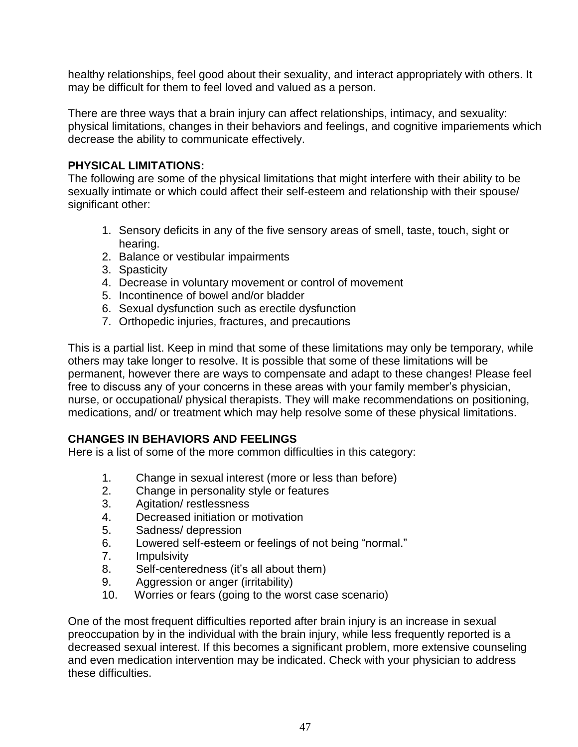healthy relationships, feel good about their sexuality, and interact appropriately with others. It may be difficult for them to feel loved and valued as a person.

There are three ways that a brain injury can affect relationships, intimacy, and sexuality: physical limitations, changes in their behaviors and feelings, and cognitive impariements which decrease the ability to communicate effectively.

#### **PHYSICAL LIMITATIONS:**

The following are some of the physical limitations that might interfere with their ability to be sexually intimate or which could affect their self-esteem and relationship with their spouse/ significant other:

- 1. Sensory deficits in any of the five sensory areas of smell, taste, touch, sight or hearing.
- 2. Balance or vestibular impairments
- 3. Spasticity
- 4. Decrease in voluntary movement or control of movement
- 5. Incontinence of bowel and/or bladder
- 6. Sexual dysfunction such as erectile dysfunction
- 7. Orthopedic injuries, fractures, and precautions

This is a partial list. Keep in mind that some of these limitations may only be temporary, while others may take longer to resolve. It is possible that some of these limitations will be permanent, however there are ways to compensate and adapt to these changes! Please feel free to discuss any of your concerns in these areas with your family member's physician, nurse, or occupational/ physical therapists. They will make recommendations on positioning, medications, and/ or treatment which may help resolve some of these physical limitations.

#### **CHANGES IN BEHAVIORS AND FEELINGS**

Here is a list of some of the more common difficulties in this category:

- 1. Change in sexual interest (more or less than before)
- 2. Change in personality style or features
- 3. Agitation/ restlessness
- 4. Decreased initiation or motivation
- 5. Sadness/ depression
- 6. Lowered self-esteem or feelings of not being "normal."
- 7. Impulsivity
- 8. Self-centeredness (it's all about them)
- 9. Aggression or anger (irritability)
- 10. Worries or fears (going to the worst case scenario)

One of the most frequent difficulties reported after brain injury is an increase in sexual preoccupation by in the individual with the brain injury, while less frequently reported is a decreased sexual interest. If this becomes a significant problem, more extensive counseling and even medication intervention may be indicated. Check with your physician to address these difficulties.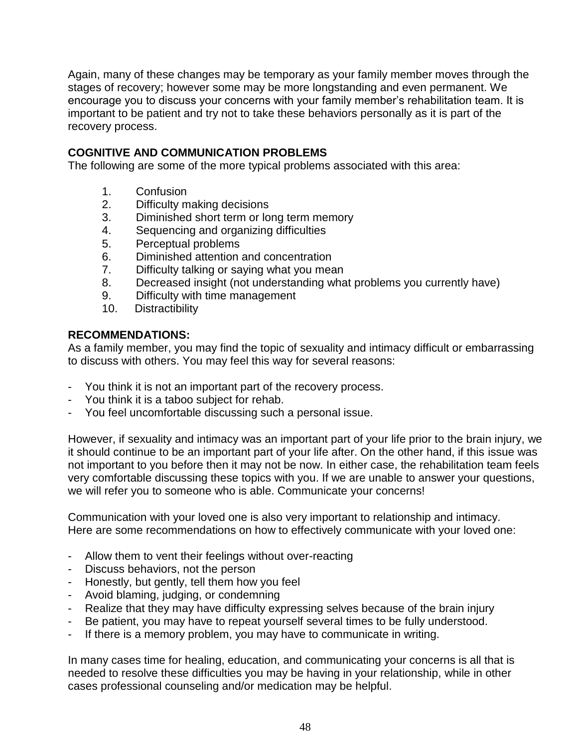Again, many of these changes may be temporary as your family member moves through the stages of recovery; however some may be more longstanding and even permanent. We encourage you to discuss your concerns with your family member's rehabilitation team. It is important to be patient and try not to take these behaviors personally as it is part of the recovery process.

### **COGNITIVE AND COMMUNICATION PROBLEMS**

The following are some of the more typical problems associated with this area:

- 1. Confusion
- 2. Difficulty making decisions
- 3. Diminished short term or long term memory
- 4. Sequencing and organizing difficulties
- 5. Perceptual problems
- 6. Diminished attention and concentration
- 7. Difficulty talking or saying what you mean
- 8. Decreased insight (not understanding what problems you currently have)
- 9. Difficulty with time management
- 10. Distractibility

#### **RECOMMENDATIONS:**

As a family member, you may find the topic of sexuality and intimacy difficult or embarrassing to discuss with others. You may feel this way for several reasons:

- You think it is not an important part of the recovery process.
- You think it is a taboo subject for rehab.
- You feel uncomfortable discussing such a personal issue.

However, if sexuality and intimacy was an important part of your life prior to the brain injury, we it should continue to be an important part of your life after. On the other hand, if this issue was not important to you before then it may not be now. In either case, the rehabilitation team feels very comfortable discussing these topics with you. If we are unable to answer your questions, we will refer you to someone who is able. Communicate your concerns!

Communication with your loved one is also very important to relationship and intimacy. Here are some recommendations on how to effectively communicate with your loved one:

- Allow them to vent their feelings without over-reacting
- Discuss behaviors, not the person
- Honestly, but gently, tell them how you feel
- Avoid blaming, judging, or condemning
- Realize that they may have difficulty expressing selves because of the brain injury
- Be patient, you may have to repeat yourself several times to be fully understood.
- If there is a memory problem, you may have to communicate in writing.

In many cases time for healing, education, and communicating your concerns is all that is needed to resolve these difficulties you may be having in your relationship, while in other cases professional counseling and/or medication may be helpful.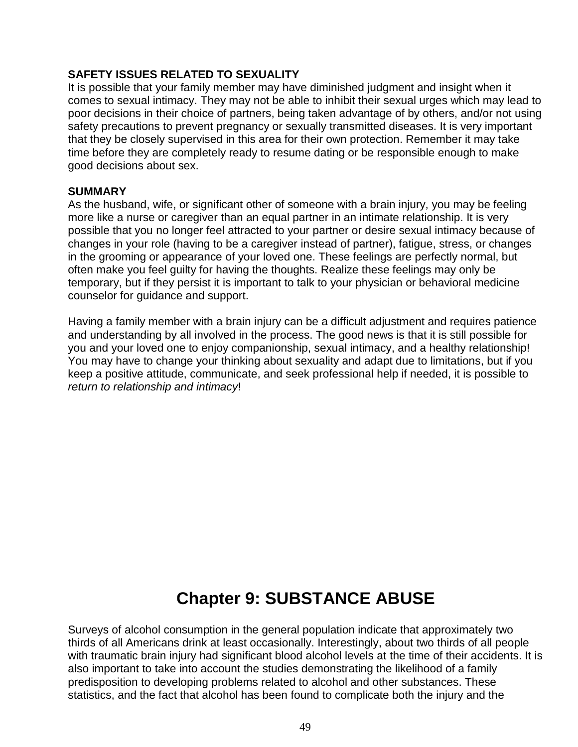#### **SAFETY ISSUES RELATED TO SEXUALITY**

It is possible that your family member may have diminished judgment and insight when it comes to sexual intimacy. They may not be able to inhibit their sexual urges which may lead to poor decisions in their choice of partners, being taken advantage of by others, and/or not using safety precautions to prevent pregnancy or sexually transmitted diseases. It is very important that they be closely supervised in this area for their own protection. Remember it may take time before they are completely ready to resume dating or be responsible enough to make good decisions about sex.

#### **SUMMARY**

As the husband, wife, or significant other of someone with a brain injury, you may be feeling more like a nurse or caregiver than an equal partner in an intimate relationship. It is very possible that you no longer feel attracted to your partner or desire sexual intimacy because of changes in your role (having to be a caregiver instead of partner), fatigue, stress, or changes in the grooming or appearance of your loved one. These feelings are perfectly normal, but often make you feel guilty for having the thoughts. Realize these feelings may only be temporary, but if they persist it is important to talk to your physician or behavioral medicine counselor for guidance and support.

Having a family member with a brain injury can be a difficult adjustment and requires patience and understanding by all involved in the process. The good news is that it is still possible for you and your loved one to enjoy companionship, sexual intimacy, and a healthy relationship! You may have to change your thinking about sexuality and adapt due to limitations, but if you keep a positive attitude, communicate, and seek professional help if needed, it is possible to *return to relationship and intimacy*!

# **Chapter 9: SUBSTANCE ABUSE**

Surveys of alcohol consumption in the general population indicate that approximately two thirds of all Americans drink at least occasionally. Interestingly, about two thirds of all people with traumatic brain injury had significant blood alcohol levels at the time of their accidents. It is also important to take into account the studies demonstrating the likelihood of a family predisposition to developing problems related to alcohol and other substances. These statistics, and the fact that alcohol has been found to complicate both the injury and the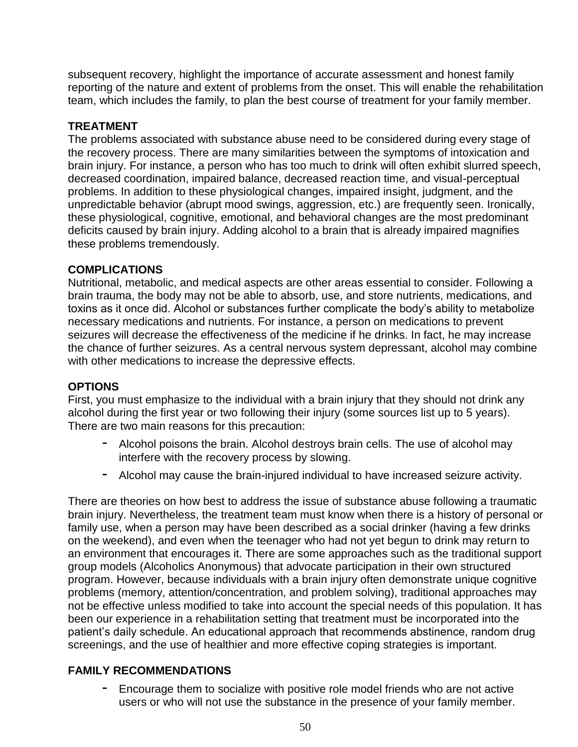subsequent recovery, highlight the importance of accurate assessment and honest family reporting of the nature and extent of problems from the onset. This will enable the rehabilitation team, which includes the family, to plan the best course of treatment for your family member.

#### **TREATMENT**

The problems associated with substance abuse need to be considered during every stage of the recovery process. There are many similarities between the symptoms of intoxication and brain injury. For instance, a person who has too much to drink will often exhibit slurred speech, decreased coordination, impaired balance, decreased reaction time, and visual-perceptual problems. In addition to these physiological changes, impaired insight, judgment, and the unpredictable behavior (abrupt mood swings, aggression, etc.) are frequently seen. Ironically, these physiological, cognitive, emotional, and behavioral changes are the most predominant deficits caused by brain injury. Adding alcohol to a brain that is already impaired magnifies these problems tremendously.

#### **COMPLICATIONS**

Nutritional, metabolic, and medical aspects are other areas essential to consider. Following a brain trauma, the body may not be able to absorb, use, and store nutrients, medications, and toxins as it once did. Alcohol or substances further complicate the body's ability to metabolize necessary medications and nutrients. For instance, a person on medications to prevent seizures will decrease the effectiveness of the medicine if he drinks. In fact, he may increase the chance of further seizures. As a central nervous system depressant, alcohol may combine with other medications to increase the depressive effects.

#### **OPTIONS**

First, you must emphasize to the individual with a brain injury that they should not drink any alcohol during the first year or two following their injury (some sources list up to 5 years). There are two main reasons for this precaution:

- Alcohol poisons the brain. Alcohol destroys brain cells. The use of alcohol may interfere with the recovery process by slowing.
- Alcohol may cause the brain-injured individual to have increased seizure activity.

There are theories on how best to address the issue of substance abuse following a traumatic brain injury. Nevertheless, the treatment team must know when there is a history of personal or family use, when a person may have been described as a social drinker (having a few drinks on the weekend), and even when the teenager who had not yet begun to drink may return to an environment that encourages it. There are some approaches such as the traditional support group models (Alcoholics Anonymous) that advocate participation in their own structured program. However, because individuals with a brain injury often demonstrate unique cognitive problems (memory, attention/concentration, and problem solving), traditional approaches may not be effective unless modified to take into account the special needs of this population. It has been our experience in a rehabilitation setting that treatment must be incorporated into the patient's daily schedule. An educational approach that recommends abstinence, random drug screenings, and the use of healthier and more effective coping strategies is important.

#### **FAMILY RECOMMENDATIONS**

- Encourage them to socialize with positive role model friends who are not active users or who will not use the substance in the presence of your family member.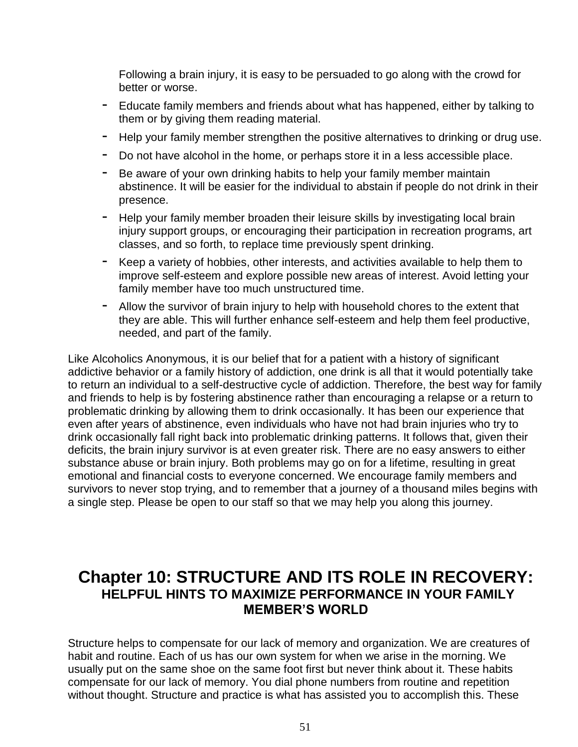Following a brain injury, it is easy to be persuaded to go along with the crowd for better or worse.

- Educate family members and friends about what has happened, either by talking to them or by giving them reading material.
- Help your family member strengthen the positive alternatives to drinking or drug use.
- Do not have alcohol in the home, or perhaps store it in a less accessible place.
- Be aware of your own drinking habits to help your family member maintain abstinence. It will be easier for the individual to abstain if people do not drink in their presence.
- Help your family member broaden their leisure skills by investigating local brain injury support groups, or encouraging their participation in recreation programs, art classes, and so forth, to replace time previously spent drinking.
- Keep a variety of hobbies, other interests, and activities available to help them to improve self-esteem and explore possible new areas of interest. Avoid letting your family member have too much unstructured time.
- Allow the survivor of brain injury to help with household chores to the extent that they are able. This will further enhance self-esteem and help them feel productive, needed, and part of the family.

Like Alcoholics Anonymous, it is our belief that for a patient with a history of significant addictive behavior or a family history of addiction, one drink is all that it would potentially take to return an individual to a self-destructive cycle of addiction. Therefore, the best way for family and friends to help is by fostering abstinence rather than encouraging a relapse or a return to problematic drinking by allowing them to drink occasionally. It has been our experience that even after years of abstinence, even individuals who have not had brain injuries who try to drink occasionally fall right back into problematic drinking patterns. It follows that, given their deficits, the brain injury survivor is at even greater risk. There are no easy answers to either substance abuse or brain injury. Both problems may go on for a lifetime, resulting in great emotional and financial costs to everyone concerned. We encourage family members and survivors to never stop trying, and to remember that a journey of a thousand miles begins with a single step. Please be open to our staff so that we may help you along this journey.

# **Chapter 10: STRUCTURE AND ITS ROLE IN RECOVERY: HELPFUL HINTS TO MAXIMIZE PERFORMANCE IN YOUR FAMILY MEMBER'S WORLD**

Structure helps to compensate for our lack of memory and organization. We are creatures of habit and routine. Each of us has our own system for when we arise in the morning. We usually put on the same shoe on the same foot first but never think about it. These habits compensate for our lack of memory. You dial phone numbers from routine and repetition without thought. Structure and practice is what has assisted you to accomplish this. These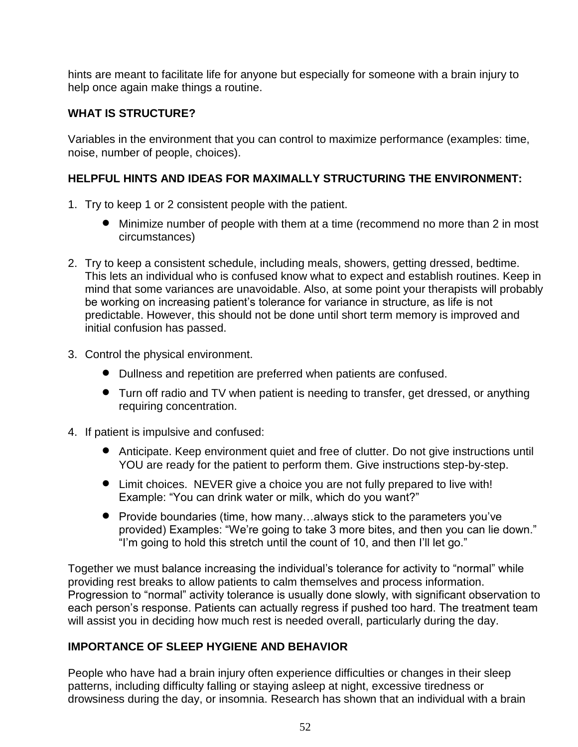hints are meant to facilitate life for anyone but especially for someone with a brain injury to help once again make things a routine.

## **WHAT IS STRUCTURE?**

Variables in the environment that you can control to maximize performance (examples: time, noise, number of people, choices).

## **HELPFUL HINTS AND IDEAS FOR MAXIMALLY STRUCTURING THE ENVIRONMENT:**

- 1. Try to keep 1 or 2 consistent people with the patient.
	- Minimize number of people with them at a time (recommend no more than 2 in most circumstances)
- 2. Try to keep a consistent schedule, including meals, showers, getting dressed, bedtime. This lets an individual who is confused know what to expect and establish routines. Keep in mind that some variances are unavoidable. Also, at some point your therapists will probably be working on increasing patient's tolerance for variance in structure, as life is not predictable. However, this should not be done until short term memory is improved and initial confusion has passed.
- 3. Control the physical environment.
	- Dullness and repetition are preferred when patients are confused.
	- Turn off radio and TV when patient is needing to transfer, get dressed, or anything requiring concentration.
- 4. If patient is impulsive and confused:
	- Anticipate. Keep environment quiet and free of clutter. Do not give instructions until YOU are ready for the patient to perform them. Give instructions step-by-step.
	- Limit choices. NEVER give a choice you are not fully prepared to live with! Example: "You can drink water or milk, which do you want?"
	- Provide boundaries (time, how many...always stick to the parameters you've provided) Examples: "We're going to take 3 more bites, and then you can lie down." "I'm going to hold this stretch until the count of 10, and then I'll let go."

Together we must balance increasing the individual's tolerance for activity to "normal" while providing rest breaks to allow patients to calm themselves and process information. Progression to "normal" activity tolerance is usually done slowly, with significant observation to each person's response. Patients can actually regress if pushed too hard. The treatment team will assist you in deciding how much rest is needed overall, particularly during the day.

#### **IMPORTANCE OF SLEEP HYGIENE AND BEHAVIOR**

People who have had a brain injury often experience difficulties or changes in their sleep patterns, including difficulty falling or staying asleep at night, excessive tiredness or drowsiness during the day, or insomnia. Research has shown that an individual with a brain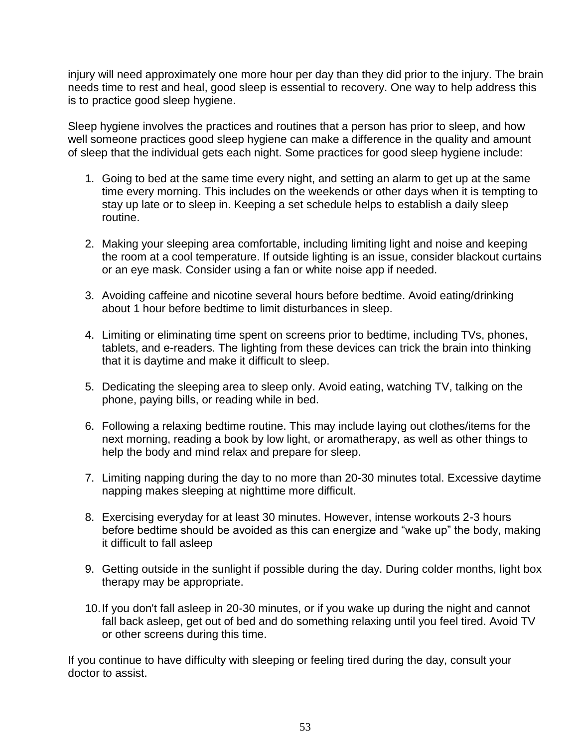injury will need approximately one more hour per day than they did prior to the injury. The brain needs time to rest and heal, good sleep is essential to recovery. One way to help address this is to practice good sleep hygiene.

Sleep hygiene involves the practices and routines that a person has prior to sleep, and how well someone practices good sleep hygiene can make a difference in the quality and amount of sleep that the individual gets each night. Some practices for good sleep hygiene include:

- 1. Going to bed at the same time every night, and setting an alarm to get up at the same time every morning. This includes on the weekends or other days when it is tempting to stay up late or to sleep in. Keeping a set schedule helps to establish a daily sleep routine.
- 2. Making your sleeping area comfortable, including limiting light and noise and keeping the room at a cool temperature. If outside lighting is an issue, consider blackout curtains or an eye mask. Consider using a fan or white noise app if needed.
- 3. Avoiding caffeine and nicotine several hours before bedtime. Avoid eating/drinking about 1 hour before bedtime to limit disturbances in sleep.
- 4. Limiting or eliminating time spent on screens prior to bedtime, including TVs, phones, tablets, and e-readers. The lighting from these devices can trick the brain into thinking that it is daytime and make it difficult to sleep.
- 5. Dedicating the sleeping area to sleep only. Avoid eating, watching TV, talking on the phone, paying bills, or reading while in bed.
- 6. Following a relaxing bedtime routine. This may include laying out clothes/items for the next morning, reading a book by low light, or aromatherapy, as well as other things to help the body and mind relax and prepare for sleep.
- 7. Limiting napping during the day to no more than 20-30 minutes total. Excessive daytime napping makes sleeping at nighttime more difficult.
- 8. Exercising everyday for at least 30 minutes. However, intense workouts 2-3 hours before bedtime should be avoided as this can energize and "wake up" the body, making it difficult to fall asleep
- 9. Getting outside in the sunlight if possible during the day. During colder months, light box therapy may be appropriate.
- 10.If you don't fall asleep in 20-30 minutes, or if you wake up during the night and cannot fall back asleep, get out of bed and do something relaxing until you feel tired. Avoid TV or other screens during this time.

If you continue to have difficulty with sleeping or feeling tired during the day, consult your doctor to assist.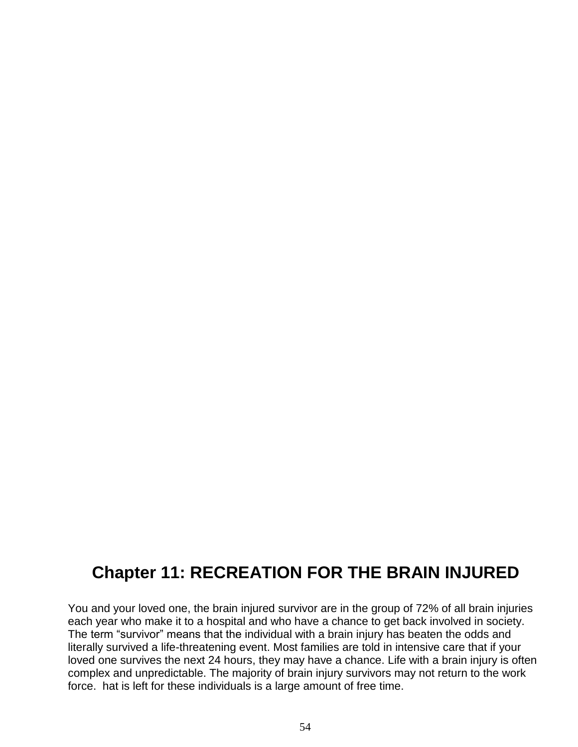# **Chapter 11: RECREATION FOR THE BRAIN INJURED**

You and your loved one, the brain injured survivor are in the group of 72% of all brain injuries each year who make it to a hospital and who have a chance to get back involved in society. The term "survivor" means that the individual with a brain injury has beaten the odds and literally survived a life-threatening event. Most families are told in intensive care that if your loved one survives the next 24 hours, they may have a chance. Life with a brain injury is often complex and unpredictable. The majority of brain injury survivors may not return to the work force. hat is left for these individuals is a large amount of free time.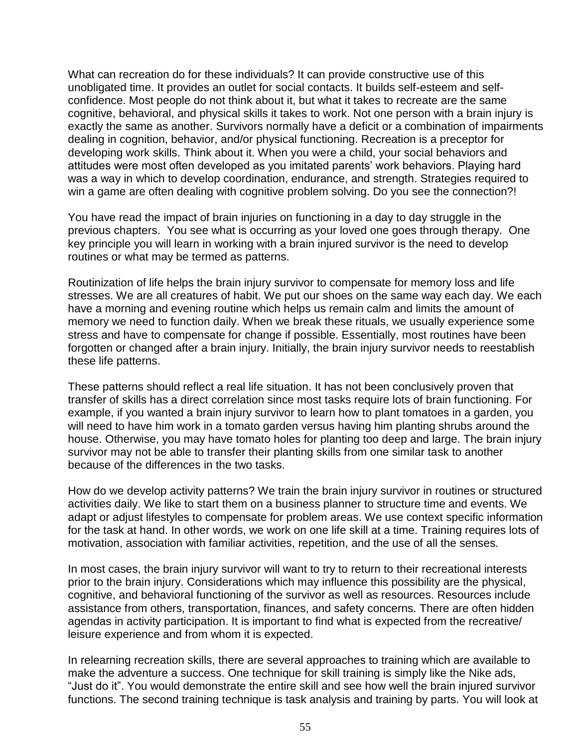What can recreation do for these individuals? It can provide constructive use of this unobligated time. It provides an outlet for social contacts. It builds self-esteem and selfconfidence. Most people do not think about it, but what it takes to recreate are the same cognitive, behavioral, and physical skills it takes to work. Not one person with a brain injury is exactly the same as another. Survivors normally have a deficit or a combination of impairments dealing in cognition, behavior, and/or physical functioning. Recreation is a preceptor for developing work skills. Think about it. When you were a child, your social behaviors and attitudes were most often developed as you imitated parents' work behaviors. Playing hard was a way in which to develop coordination, endurance, and strength. Strategies required to win a game are often dealing with cognitive problem solving. Do you see the connection?!

You have read the impact of brain injuries on functioning in a day to day struggle in the previous chapters. You see what is occurring as your loved one goes through therapy. One key principle you will learn in working with a brain injured survivor is the need to develop routines or what may be termed as patterns.

Routinization of life helps the brain injury survivor to compensate for memory loss and life stresses. We are all creatures of habit. We put our shoes on the same way each day. We each have a morning and evening routine which helps us remain calm and limits the amount of memory we need to function daily. When we break these rituals, we usually experience some stress and have to compensate for change if possible. Essentially, most routines have been forgotten or changed after a brain injury. Initially, the brain injury survivor needs to reestablish these life patterns.

These patterns should reflect a real life situation. It has not been conclusively proven that transfer of skills has a direct correlation since most tasks require lots of brain functioning. For example, if you wanted a brain injury survivor to learn how to plant tomatoes in a garden, you will need to have him work in a tomato garden versus having him planting shrubs around the house. Otherwise, you may have tomato holes for planting too deep and large. The brain injury survivor may not be able to transfer their planting skills from one similar task to another because of the differences in the two tasks.

How do we develop activity patterns? We train the brain injury survivor in routines or structured activities daily. We like to start them on a business planner to structure time and events. We adapt or adjust lifestyles to compensate for problem areas. We use context specific information for the task at hand. In other words, we work on one life skill at a time. Training requires lots of motivation, association with familiar activities, repetition, and the use of all the senses.

In most cases, the brain injury survivor will want to try to return to their recreational interests prior to the brain injury. Considerations which may influence this possibility are the physical, cognitive, and behavioral functioning of the survivor as well as resources. Resources include assistance from others, transportation, finances, and safety concerns. There are often hidden agendas in activity participation. It is important to find what is expected from the recreative/ leisure experience and from whom it is expected.

In relearning recreation skills, there are several approaches to training which are available to make the adventure a success. One technique for skill training is simply like the Nike ads, "Just do it". You would demonstrate the entire skill and see how well the brain injured survivor functions. The second training technique is task analysis and training by parts. You will look at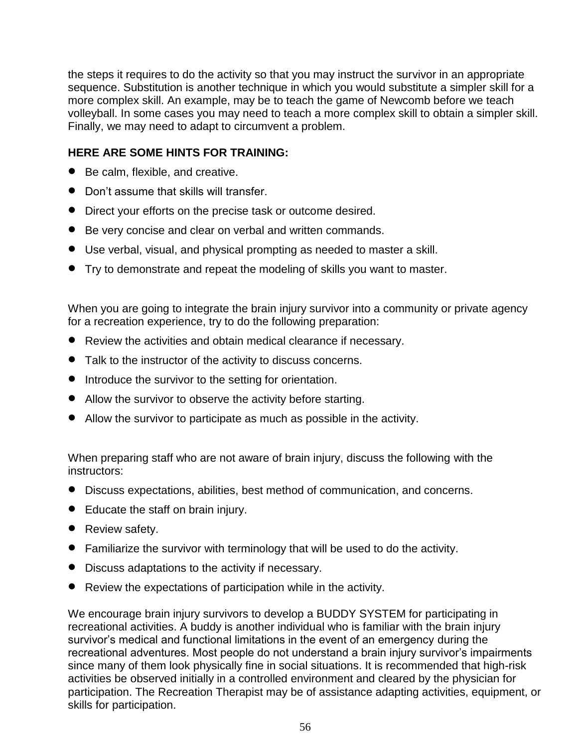the steps it requires to do the activity so that you may instruct the survivor in an appropriate sequence. Substitution is another technique in which you would substitute a simpler skill for a more complex skill. An example, may be to teach the game of Newcomb before we teach volleyball. In some cases you may need to teach a more complex skill to obtain a simpler skill. Finally, we may need to adapt to circumvent a problem.

#### **HERE ARE SOME HINTS FOR TRAINING:**

- Be calm, flexible, and creative.
- Don't assume that skills will transfer.
- Direct your efforts on the precise task or outcome desired.
- Be very concise and clear on verbal and written commands.
- Use verbal, visual, and physical prompting as needed to master a skill.
- Try to demonstrate and repeat the modeling of skills you want to master.

When you are going to integrate the brain injury survivor into a community or private agency for a recreation experience, try to do the following preparation:

- Review the activities and obtain medical clearance if necessary.
- Talk to the instructor of the activity to discuss concerns.
- Introduce the survivor to the setting for orientation.
- Allow the survivor to observe the activity before starting.
- Allow the survivor to participate as much as possible in the activity.

When preparing staff who are not aware of brain injury, discuss the following with the instructors:

- Discuss expectations, abilities, best method of communication, and concerns.
- Educate the staff on brain injury.
- Review safety.
- Familiarize the survivor with terminology that will be used to do the activity.
- Discuss adaptations to the activity if necessary.
- Review the expectations of participation while in the activity.

We encourage brain injury survivors to develop a BUDDY SYSTEM for participating in recreational activities. A buddy is another individual who is familiar with the brain injury survivor's medical and functional limitations in the event of an emergency during the recreational adventures. Most people do not understand a brain injury survivor's impairments since many of them look physically fine in social situations. It is recommended that high-risk activities be observed initially in a controlled environment and cleared by the physician for participation. The Recreation Therapist may be of assistance adapting activities, equipment, or skills for participation.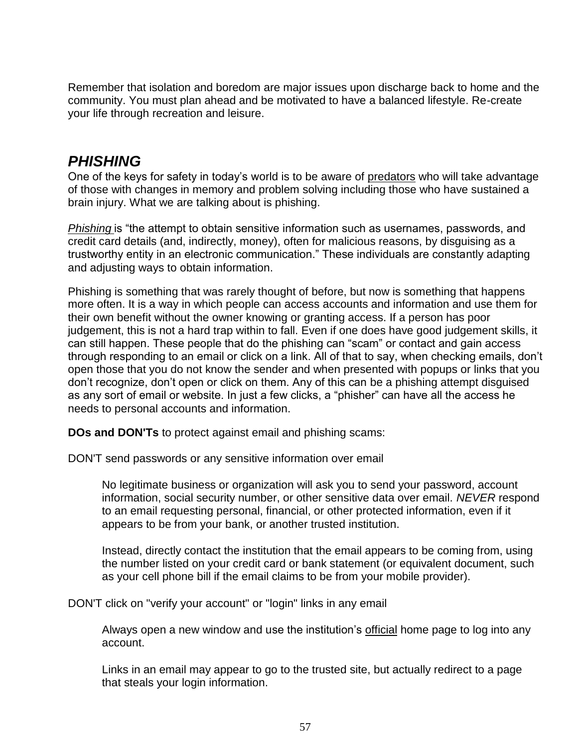Remember that isolation and boredom are major issues upon discharge back to home and the community. You must plan ahead and be motivated to have a balanced lifestyle. Re-create your life through recreation and leisure.

# *PHISHING*

One of the keys for safety in today's world is to be aware of predators who will take advantage of those with changes in memory and problem solving including those who have sustained a brain injury. What we are talking about is phishing.

*Phishing* is "the attempt to obtain sensitive information such as usernames, passwords, and credit card details (and, indirectly, money), often for malicious reasons, by disguising as a trustworthy entity in an electronic communication." These individuals are constantly adapting and adjusting ways to obtain information.

Phishing is something that was rarely thought of before, but now is something that happens more often. It is a way in which people can access accounts and information and use them for their own benefit without the owner knowing or granting access. If a person has poor judgement, this is not a hard trap within to fall. Even if one does have good judgement skills, it can still happen. These people that do the phishing can "scam" or contact and gain access through responding to an email or click on a link. All of that to say, when checking emails, don't open those that you do not know the sender and when presented with popups or links that you don't recognize, don't open or click on them. Any of this can be a phishing attempt disguised as any sort of email or website. In just a few clicks, a "phisher" can have all the access he needs to personal accounts and information.

**DOs and DON'Ts** to protect against email and phishing scams:

DON'T send passwords or any sensitive information over email

No legitimate business or organization will ask you to send your password, account information, social security number, or other sensitive data over email. *NEVER* respond to an email requesting personal, financial, or other protected information, even if it appears to be from your bank, or another trusted institution.

Instead, directly contact the institution that the email appears to be coming from, using the number listed on your credit card or bank statement (or equivalent document, such as your cell phone bill if the email claims to be from your mobile provider).

DON'T click on "verify your account" or "login" links in any email

Always open a new window and use the institution's official home page to log into any account.

Links in an email may appear to go to the trusted site, but actually redirect to a page that steals your login information.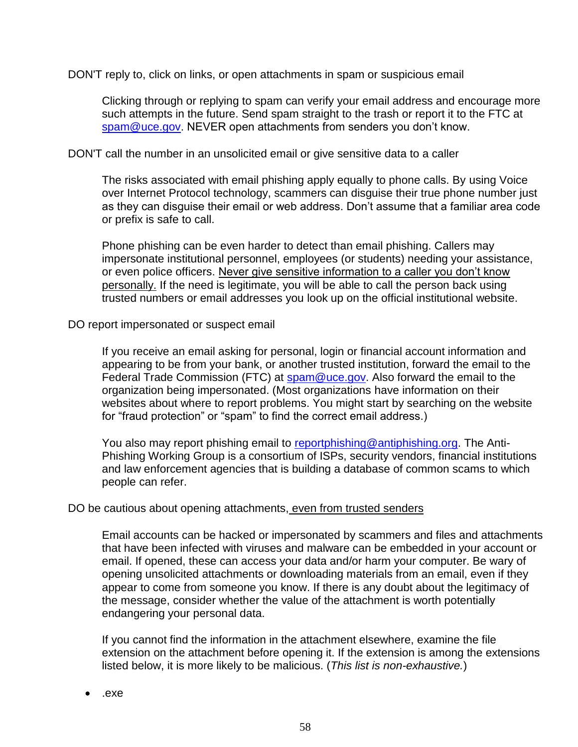DON'T reply to, click on links, or open attachments in spam or suspicious email

Clicking through or replying to spam can verify your email address and encourage more such attempts in the future. Send spam straight to the trash or report it to the FTC at [spam@uce.gov.](mailto:spam@uce.gov) NEVER open attachments from senders you don't know.

DON'T call the number in an unsolicited email or give sensitive data to a caller

The risks associated with email phishing apply equally to phone calls. By using Voice over Internet Protocol technology, scammers can disguise their true phone number just as they can disguise their email or web address. Don't assume that a familiar area code or prefix is safe to call.

Phone phishing can be even harder to detect than email phishing. Callers may impersonate institutional personnel, employees (or students) needing your assistance, or even police officers. Never give sensitive information to a caller you don't know personally. If the need is legitimate, you will be able to call the person back using trusted numbers or email addresses you look up on the official institutional website.

DO report impersonated or suspect email

If you receive an email asking for personal, login or financial account information and appearing to be from your bank, or another trusted institution, forward the email to the Federal Trade Commission (FTC) at [spam@uce.gov.](mailto:spam@uce.gov) Also forward the email to the organization being impersonated. (Most organizations have information on their websites about where to report problems. You might start by searching on the website for "fraud protection" or "spam" to find the correct email address.)

You also may report phishing email to [reportphishing@antiphishing.org.](mailto:reportphishing@antiphishing.org) The Anti-Phishing Working Group is a consortium of ISPs, security vendors, financial institutions and law enforcement agencies that is building a database of common scams to which people can refer.

#### DO be cautious about opening attachments, even from trusted senders

Email accounts can be hacked or impersonated by scammers and files and attachments that have been infected with viruses and malware can be embedded in your account or email. If opened, these can access your data and/or harm your computer. Be wary of opening unsolicited attachments or downloading materials from an email, even if they appear to come from someone you know. If there is any doubt about the legitimacy of the message, consider whether the value of the attachment is worth potentially endangering your personal data.

If you cannot find the information in the attachment elsewhere, examine the file extension on the attachment before opening it. If the extension is among the extensions listed below, it is more likely to be malicious. (*This list is non-exhaustive.*)

.exe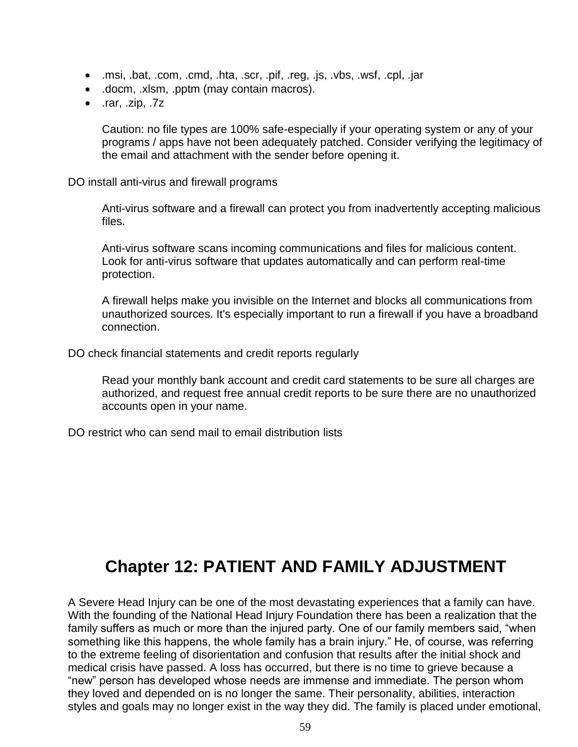- .msi, .bat, .com, .cmd, .hta, .scr, .pif, .reg, .js, .vbs, .wsf, .cpl, .jar
- .docm, .xlsm, .pptm (may contain macros).
- .rar, .zip, .7z

Caution: no file types are 100% safe-especially if your operating system or any of your programs / apps have not been adequately patched. Consider verifying the legitimacy of the email and attachment with the sender before opening it.

DO install anti-virus and firewall programs

Anti-virus software and a firewall can protect you from inadvertently accepting malicious files.

Anti-virus software scans incoming communications and files for malicious content. Look for anti-virus software that updates automatically and can perform real-time protection.

A firewall helps make you invisible on the Internet and blocks all communications from unauthorized sources. It's especially important to run a firewall if you have a broadband connection.

DO check financial statements and credit reports regularly

Read your monthly bank account and credit card statements to be sure all charges are authorized, and request free annual credit reports to be sure there are no unauthorized accounts open in your name.

DO restrict who can send mail to email distribution lists

# **Chapter 12: PATIENT AND FAMILY ADJUSTMENT**

A Severe Head Injury can be one of the most devastating experiences that a family can have. With the founding of the National Head Injury Foundation there has been a realization that the family suffers as much or more than the injured party. One of our family members said, "when something like this happens, the whole family has a brain injury." He, of course, was referring to the extreme feeling of disorientation and confusion that results after the initial shock and medical crisis have passed. A loss has occurred, but there is no time to grieve because a "new" person has developed whose needs are immense and immediate. The person whom they loved and depended on is no longer the same. Their personality, abilities, interaction styles and goals may no longer exist in the way they did. The family is placed under emotional,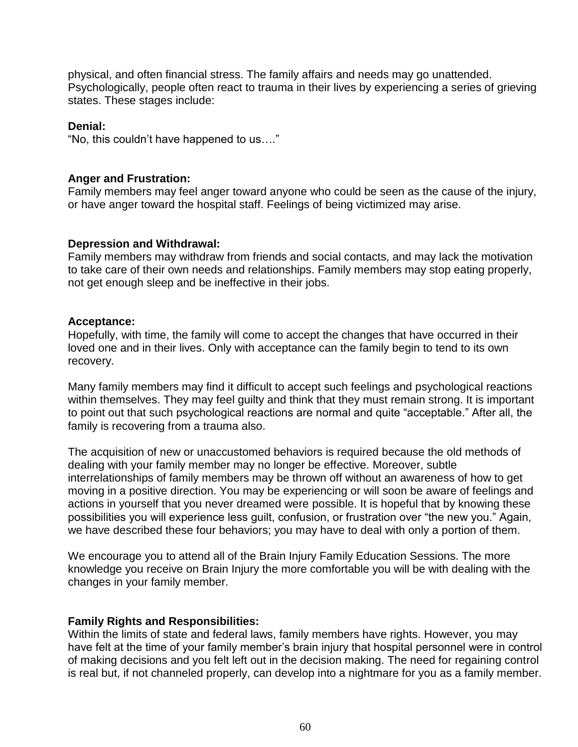physical, and often financial stress. The family affairs and needs may go unattended. Psychologically, people often react to trauma in their lives by experiencing a series of grieving states. These stages include:

#### **Denial:**

"No, this couldn't have happened to us…."

#### **Anger and Frustration:**

Family members may feel anger toward anyone who could be seen as the cause of the injury, or have anger toward the hospital staff. Feelings of being victimized may arise.

#### **Depression and Withdrawal:**

Family members may withdraw from friends and social contacts, and may lack the motivation to take care of their own needs and relationships. Family members may stop eating properly, not get enough sleep and be ineffective in their jobs.

#### **Acceptance:**

Hopefully, with time, the family will come to accept the changes that have occurred in their loved one and in their lives. Only with acceptance can the family begin to tend to its own recovery.

Many family members may find it difficult to accept such feelings and psychological reactions within themselves. They may feel quilty and think that they must remain strong. It is important to point out that such psychological reactions are normal and quite "acceptable." After all, the family is recovering from a trauma also.

The acquisition of new or unaccustomed behaviors is required because the old methods of dealing with your family member may no longer be effective. Moreover, subtle interrelationships of family members may be thrown off without an awareness of how to get moving in a positive direction. You may be experiencing or will soon be aware of feelings and actions in yourself that you never dreamed were possible. It is hopeful that by knowing these possibilities you will experience less guilt, confusion, or frustration over "the new you." Again, we have described these four behaviors; you may have to deal with only a portion of them.

We encourage you to attend all of the Brain Injury Family Education Sessions. The more knowledge you receive on Brain Injury the more comfortable you will be with dealing with the changes in your family member.

#### **Family Rights and Responsibilities:**

Within the limits of state and federal laws, family members have rights. However, you may have felt at the time of your family member's brain injury that hospital personnel were in control of making decisions and you felt left out in the decision making. The need for regaining control is real but, if not channeled properly, can develop into a nightmare for you as a family member.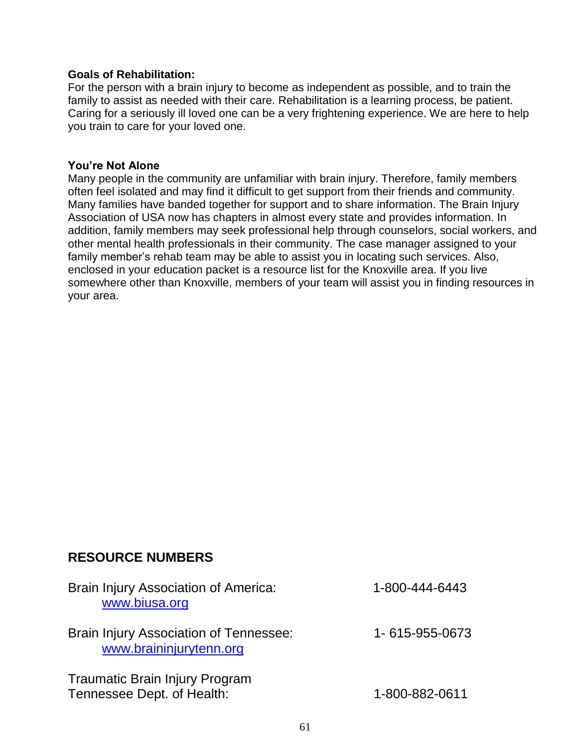#### **Goals of Rehabilitation:**

For the person with a brain injury to become as independent as possible, and to train the family to assist as needed with their care. Rehabilitation is a learning process, be patient. Caring for a seriously ill loved one can be a very frightening experience. We are here to help you train to care for your loved one.

#### **You're Not Alone**

Many people in the community are unfamiliar with brain injury. Therefore, family members often feel isolated and may find it difficult to get support from their friends and community. Many families have banded together for support and to share information. The Brain Injury Association of USA now has chapters in almost every state and provides information. In addition, family members may seek professional help through counselors, social workers, and other mental health professionals in their community. The case manager assigned to your family member's rehab team may be able to assist you in locating such services. Also, enclosed in your education packet is a resource list for the Knoxville area. If you live somewhere other than Knoxville, members of your team will assist you in finding resources in your area.

# **RESOURCE NUMBERS**

| Brain Injury Association of America:<br>www.biusa.org               | 1-800-444-6443 |
|---------------------------------------------------------------------|----------------|
| Brain Injury Association of Tennessee:<br>www.braininjurytenn.org   | 1-615-955-0673 |
| <b>Traumatic Brain Injury Program</b><br>Tennessee Dept. of Health: | 1-800-882-0611 |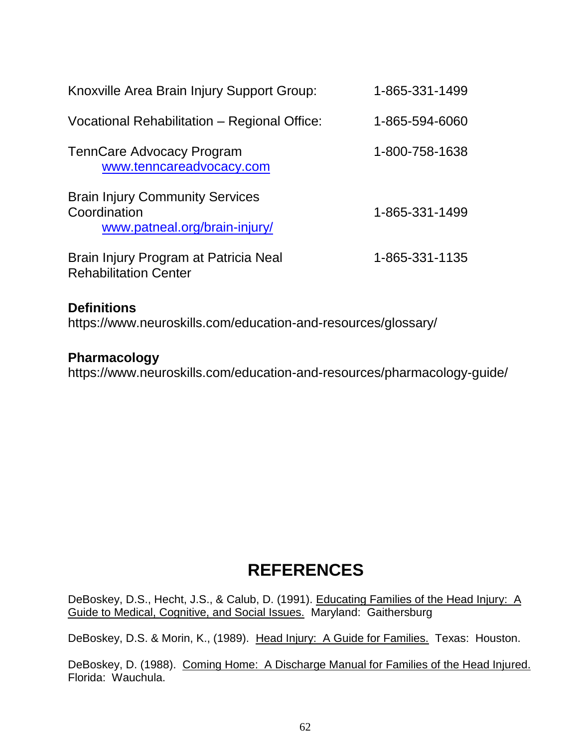| Knoxville Area Brain Injury Support Group:                                              | 1-865-331-1499 |
|-----------------------------------------------------------------------------------------|----------------|
| Vocational Rehabilitation - Regional Office:                                            | 1-865-594-6060 |
| TennCare Advocacy Program<br>www.tenncareadvocacy.com                                   | 1-800-758-1638 |
| <b>Brain Injury Community Services</b><br>Coordination<br>www.patneal.org/brain-injury/ | 1-865-331-1499 |
| Brain Injury Program at Patricia Neal<br><b>Rehabilitation Center</b>                   | 1-865-331-1135 |

# **Definitions**

https://www.neuroskills.com/education-and-resources/glossary/

## **Pharmacology**

https://www.neuroskills.com/education-and-resources/pharmacology-guide/

# **REFERENCES**

DeBoskey, D.S., Hecht, J.S., & Calub, D. (1991). Educating Families of the Head Injury: A Guide to Medical, Cognitive, and Social Issues. Maryland: Gaithersburg

DeBoskey, D.S. & Morin, K., (1989). Head Injury: A Guide for Families. Texas: Houston.

DeBoskey, D. (1988). Coming Home: A Discharge Manual for Families of the Head Injured. Florida: Wauchula.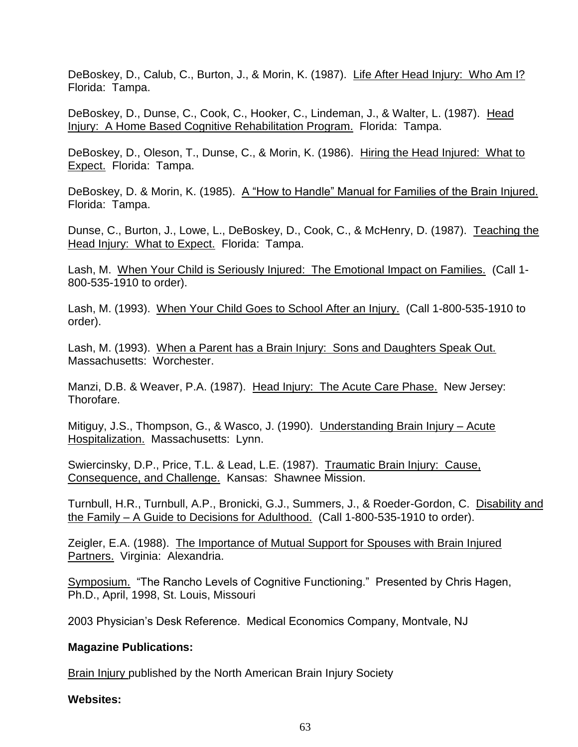DeBoskey, D., Calub, C., Burton, J., & Morin, K. (1987). Life After Head Injury: Who Am I? Florida: Tampa.

DeBoskey, D., Dunse, C., Cook, C., Hooker, C., Lindeman, J., & Walter, L. (1987). Head Injury: A Home Based Cognitive Rehabilitation Program. Florida: Tampa.

DeBoskey, D., Oleson, T., Dunse, C., & Morin, K. (1986). Hiring the Head Injured: What to Expect. Florida: Tampa.

DeBoskey, D. & Morin, K. (1985). A "How to Handle" Manual for Families of the Brain Injured. Florida: Tampa.

Dunse, C., Burton, J., Lowe, L., DeBoskey, D., Cook, C., & McHenry, D. (1987). Teaching the Head Injury: What to Expect. Florida: Tampa.

Lash, M. When Your Child is Seriously Injured: The Emotional Impact on Families. (Call 1- 800-535-1910 to order).

Lash, M. (1993). When Your Child Goes to School After an Injury. (Call 1-800-535-1910 to order).

Lash, M. (1993). When a Parent has a Brain Injury: Sons and Daughters Speak Out. Massachusetts: Worchester.

Manzi, D.B. & Weaver, P.A. (1987). Head Injury: The Acute Care Phase. New Jersey: Thorofare.

Mitiguy, J.S., Thompson, G., & Wasco, J. (1990). Understanding Brain Injury – Acute Hospitalization. Massachusetts: Lynn.

Swiercinsky, D.P., Price, T.L. & Lead, L.E. (1987). Traumatic Brain Injury: Cause, Consequence, and Challenge. Kansas: Shawnee Mission.

Turnbull, H.R., Turnbull, A.P., Bronicki, G.J., Summers, J., & Roeder-Gordon, C. Disability and the Family – A Guide to Decisions for Adulthood. (Call 1-800-535-1910 to order).

Zeigler, E.A. (1988). The Importance of Mutual Support for Spouses with Brain Injured Partners. Virginia: Alexandria.

Symposium. "The Rancho Levels of Cognitive Functioning." Presented by Chris Hagen, Ph.D., April, 1998, St. Louis, Missouri

2003 Physician's Desk Reference. Medical Economics Company, Montvale, NJ

#### **Magazine Publications:**

Brain Injury published by the North American Brain Injury Society

#### **Websites:**